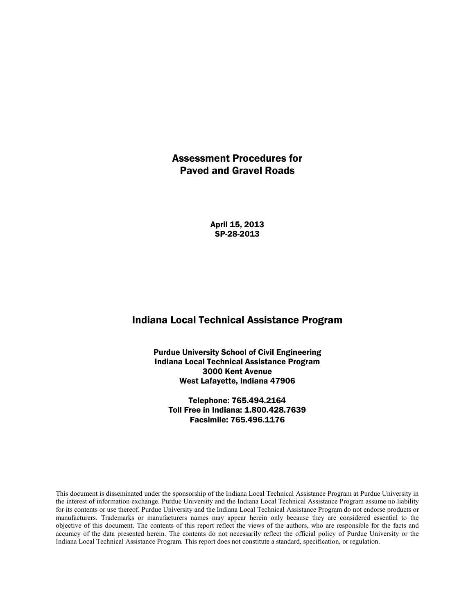# Assessment Procedures for Paved and Gravel Roads

April 15, 2013 SP-28-2013

# Indiana Local Technical Assistance Program

Purdue University School of Civil Engineering Indiana Local Technical Assistance Program 3000 Kent Avenue West Lafayette, Indiana 47906

Telephone: 765.494.2164 Toll Free in Indiana: 1.800.428.7639 Facsimile: 765.496.1176

This document is disseminated under the sponsorship of the Indiana Local Technical Assistance Program at Purdue University in the interest of information exchange. Purdue University and the Indiana Local Technical Assistance Program assume no liability for its contents or use thereof. Purdue University and the Indiana Local Technical Assistance Program do not endorse products or manufacturers. Trademarks or manufacturers names may appear herein only because they are considered essential to the objective of this document. The contents of this report reflect the views of the authors, who are responsible for the facts and accuracy of the data presented herein. The contents do not necessarily reflect the official policy of Purdue University or the Indiana Local Technical Assistance Program. This report does not constitute a standard, specification, or regulation.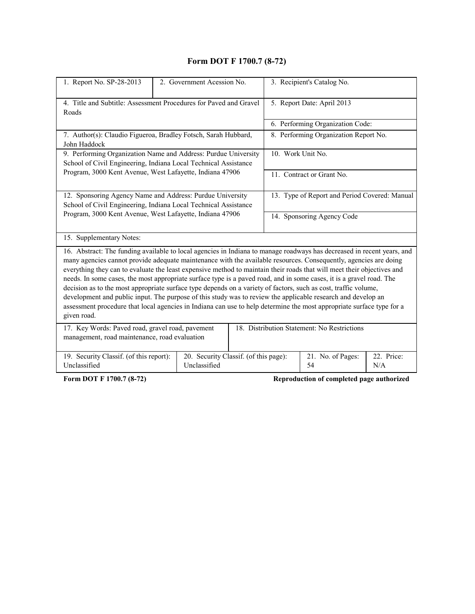# **Form DOT F 1700.7 (8-72)**

| 1. Report No. SP-28-2013                                                                                                                                                                                                                                                                                                                                                                                                                                                                                                                                                                                                                                                                                                                                                                                                                                                | 2. Government Acession No. |                                       | 3. Recipient's Catalog No.                    |                   |  |  |  |
|-------------------------------------------------------------------------------------------------------------------------------------------------------------------------------------------------------------------------------------------------------------------------------------------------------------------------------------------------------------------------------------------------------------------------------------------------------------------------------------------------------------------------------------------------------------------------------------------------------------------------------------------------------------------------------------------------------------------------------------------------------------------------------------------------------------------------------------------------------------------------|----------------------------|---------------------------------------|-----------------------------------------------|-------------------|--|--|--|
| 4. Title and Subtitle: Assessment Procedures for Paved and Gravel<br>Roads                                                                                                                                                                                                                                                                                                                                                                                                                                                                                                                                                                                                                                                                                                                                                                                              |                            |                                       | 5. Report Date: April 2013                    |                   |  |  |  |
|                                                                                                                                                                                                                                                                                                                                                                                                                                                                                                                                                                                                                                                                                                                                                                                                                                                                         |                            |                                       | 6. Performing Organization Code:              |                   |  |  |  |
| 7. Author(s): Claudio Figueroa, Bradley Fotsch, Sarah Hubbard,<br>John Haddock                                                                                                                                                                                                                                                                                                                                                                                                                                                                                                                                                                                                                                                                                                                                                                                          |                            |                                       | 8. Performing Organization Report No.         |                   |  |  |  |
| 9. Performing Organization Name and Address: Purdue University<br>School of Civil Engineering, Indiana Local Technical Assistance                                                                                                                                                                                                                                                                                                                                                                                                                                                                                                                                                                                                                                                                                                                                       |                            |                                       | 10. Work Unit No.                             |                   |  |  |  |
| Program, 3000 Kent Avenue, West Lafayette, Indiana 47906                                                                                                                                                                                                                                                                                                                                                                                                                                                                                                                                                                                                                                                                                                                                                                                                                |                            |                                       | 11. Contract or Grant No.                     |                   |  |  |  |
| 12. Sponsoring Agency Name and Address: Purdue University<br>School of Civil Engineering, Indiana Local Technical Assistance                                                                                                                                                                                                                                                                                                                                                                                                                                                                                                                                                                                                                                                                                                                                            |                            |                                       | 13. Type of Report and Period Covered: Manual |                   |  |  |  |
| Program, 3000 Kent Avenue, West Lafayette, Indiana 47906                                                                                                                                                                                                                                                                                                                                                                                                                                                                                                                                                                                                                                                                                                                                                                                                                |                            |                                       | 14. Sponsoring Agency Code                    |                   |  |  |  |
| 15. Supplementary Notes:                                                                                                                                                                                                                                                                                                                                                                                                                                                                                                                                                                                                                                                                                                                                                                                                                                                |                            |                                       |                                               |                   |  |  |  |
| 16. Abstract: The funding available to local agencies in Indiana to manage roadways has decreased in recent years, and<br>many agencies cannot provide adequate maintenance with the available resources. Consequently, agencies are doing<br>everything they can to evaluate the least expensive method to maintain their roads that will meet their objectives and<br>needs. In some cases, the most appropriate surface type is a paved road, and in some cases, it is a gravel road. The<br>decision as to the most appropriate surface type depends on a variety of factors, such as cost, traffic volume,<br>development and public input. The purpose of this study was to review the applicable research and develop an<br>assessment procedure that local agencies in Indiana can use to help determine the most appropriate surface type for a<br>given road. |                            |                                       |                                               |                   |  |  |  |
| 17. Key Words: Paved road, gravel road, pavement<br>management, road maintenance, road evaluation                                                                                                                                                                                                                                                                                                                                                                                                                                                                                                                                                                                                                                                                                                                                                                       |                            |                                       | 18. Distribution Statement: No Restrictions   |                   |  |  |  |
| 19. Security Classif. (of this report):<br>Unclassified                                                                                                                                                                                                                                                                                                                                                                                                                                                                                                                                                                                                                                                                                                                                                                                                                 | Unclassified               | 20. Security Classif. (of this page): | 21. No. of Pages:<br>54                       | 22. Price:<br>N/A |  |  |  |
| Form DOT F 1700.7 (8-72)                                                                                                                                                                                                                                                                                                                                                                                                                                                                                                                                                                                                                                                                                                                                                                                                                                                |                            |                                       | Reproduction of completed page authorized     |                   |  |  |  |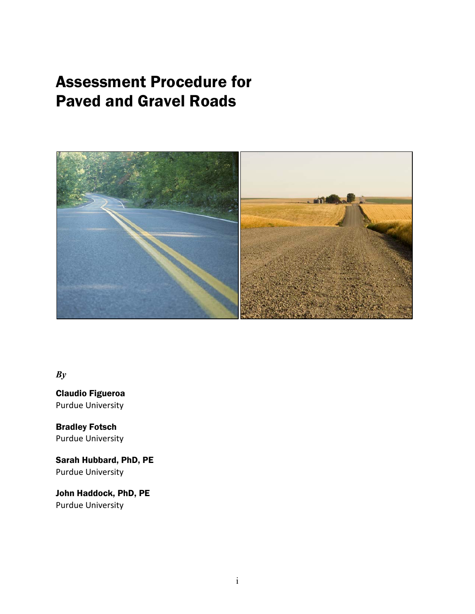# Assessment Procedure for Paved and Gravel Roads



*By*

Claudio Figueroa Purdue University

Bradley Fotsch Purdue University

Sarah Hubbard, PhD, PE Purdue University

John Haddock, PhD, PE Purdue University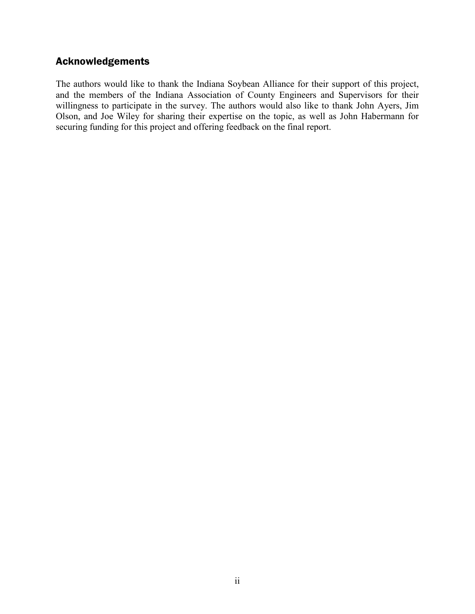# Acknowledgements

The authors would like to thank the Indiana Soybean Alliance for their support of this project, and the members of the Indiana Association of County Engineers and Supervisors for their willingness to participate in the survey. The authors would also like to thank John Ayers, Jim Olson, and Joe Wiley for sharing their expertise on the topic, as well as John Habermann for securing funding for this project and offering feedback on the final report.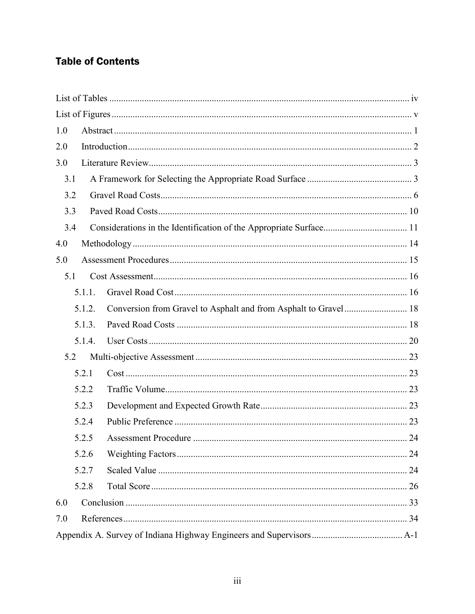# **Table of Contents**

| 1.0 |        |  |
|-----|--------|--|
| 2.0 |        |  |
| 3.0 |        |  |
| 3.1 |        |  |
| 3.2 |        |  |
| 3.3 |        |  |
| 3.4 |        |  |
| 4.0 |        |  |
| 5.0 |        |  |
| 5.1 |        |  |
|     | 5.1.1. |  |
|     | 5.1.2. |  |
|     | 5.1.3. |  |
|     | 5.1.4. |  |
| 5.2 |        |  |
|     | 5.2.1  |  |
|     | 5.2.2  |  |
|     | 5.2.3  |  |
|     | 5.2.4  |  |
|     | 5.2.5  |  |
|     | 5.2.6  |  |
|     | 5.2.7  |  |
|     | 5.2.8  |  |
| 6.0 |        |  |
| 7.0 |        |  |
|     |        |  |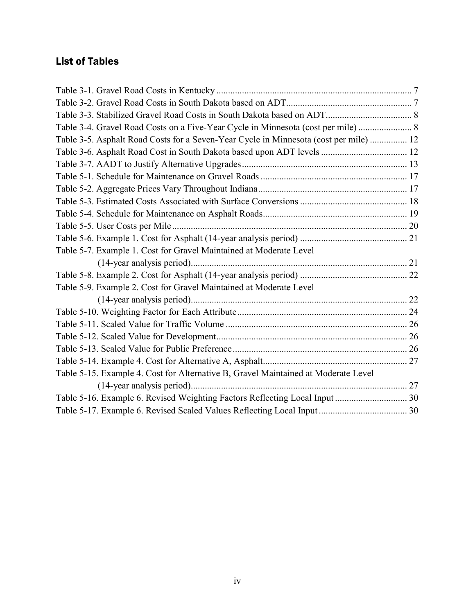# <span id="page-5-0"></span>List of Tables

| Table 3-4. Gravel Road Costs on a Five-Year Cycle in Minnesota (cost per mile) 8      |  |
|---------------------------------------------------------------------------------------|--|
| Table 3-5. Asphalt Road Costs for a Seven-Year Cycle in Minnesota (cost per mile)  12 |  |
|                                                                                       |  |
|                                                                                       |  |
|                                                                                       |  |
|                                                                                       |  |
|                                                                                       |  |
|                                                                                       |  |
|                                                                                       |  |
|                                                                                       |  |
| Table 5-7. Example 1. Cost for Gravel Maintained at Moderate Level                    |  |
|                                                                                       |  |
|                                                                                       |  |
| Table 5-9. Example 2. Cost for Gravel Maintained at Moderate Level                    |  |
|                                                                                       |  |
|                                                                                       |  |
|                                                                                       |  |
|                                                                                       |  |
|                                                                                       |  |
|                                                                                       |  |
| Table 5-15. Example 4. Cost for Alternative B, Gravel Maintained at Moderate Level    |  |
|                                                                                       |  |
|                                                                                       |  |
|                                                                                       |  |
|                                                                                       |  |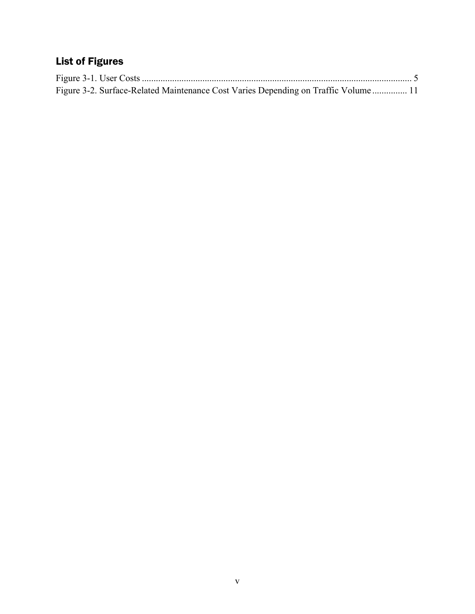# <span id="page-6-0"></span>List of Figures

| Figure 3-2. Surface-Related Maintenance Cost Varies Depending on Traffic Volume 11 |  |
|------------------------------------------------------------------------------------|--|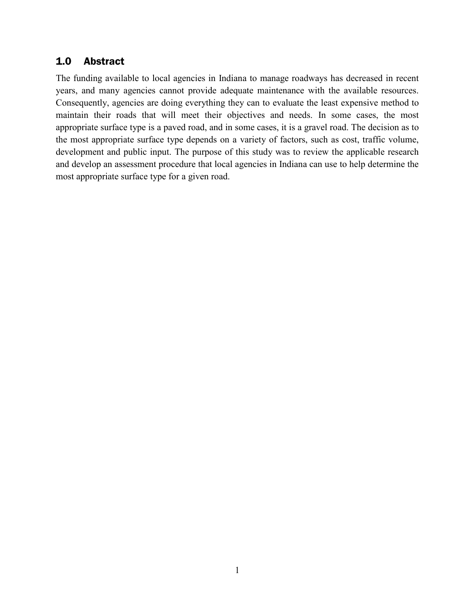# <span id="page-7-0"></span>1.0 Abstract

The funding available to local agencies in Indiana to manage roadways has decreased in recent years, and many agencies cannot provide adequate maintenance with the available resources. Consequently, agencies are doing everything they can to evaluate the least expensive method to maintain their roads that will meet their objectives and needs. In some cases, the most appropriate surface type is a paved road, and in some cases, it is a gravel road. The decision as to the most appropriate surface type depends on a variety of factors, such as cost, traffic volume, development and public input. The purpose of this study was to review the applicable research and develop an assessment procedure that local agencies in Indiana can use to help determine the most appropriate surface type for a given road.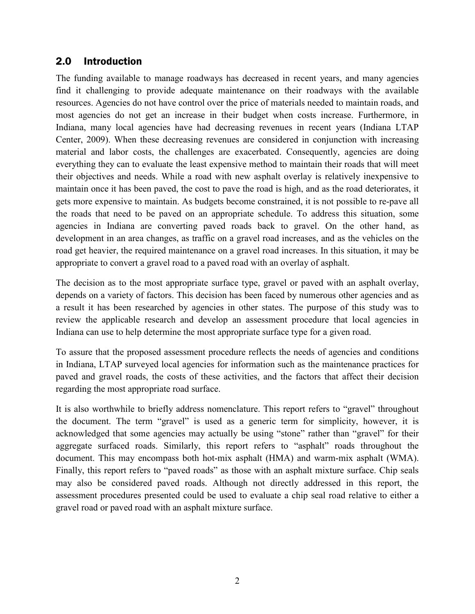# <span id="page-8-0"></span>2.0 Introduction

The funding available to manage roadways has decreased in recent years, and many agencies find it challenging to provide adequate maintenance on their roadways with the available resources. Agencies do not have control over the price of materials needed to maintain roads, and most agencies do not get an increase in their budget when costs increase. Furthermore, in Indiana, many local agencies have had decreasing revenues in recent years (Indiana LTAP Center, 2009). When these decreasing revenues are considered in conjunction with increasing material and labor costs, the challenges are exacerbated. Consequently, agencies are doing everything they can to evaluate the least expensive method to maintain their roads that will meet their objectives and needs. While a road with new asphalt overlay is relatively inexpensive to maintain once it has been paved, the cost to pave the road is high, and as the road deteriorates, it gets more expensive to maintain. As budgets become constrained, it is not possible to re-pave all the roads that need to be paved on an appropriate schedule. To address this situation, some agencies in Indiana are converting paved roads back to gravel. On the other hand, as development in an area changes, as traffic on a gravel road increases, and as the vehicles on the road get heavier, the required maintenance on a gravel road increases. In this situation, it may be appropriate to convert a gravel road to a paved road with an overlay of asphalt.

The decision as to the most appropriate surface type, gravel or paved with an asphalt overlay, depends on a variety of factors. This decision has been faced by numerous other agencies and as a result it has been researched by agencies in other states. The purpose of this study was to review the applicable research and develop an assessment procedure that local agencies in Indiana can use to help determine the most appropriate surface type for a given road.

To assure that the proposed assessment procedure reflects the needs of agencies and conditions in Indiana, LTAP surveyed local agencies for information such as the maintenance practices for paved and gravel roads, the costs of these activities, and the factors that affect their decision regarding the most appropriate road surface.

It is also worthwhile to briefly address nomenclature. This report refers to "gravel" throughout the document. The term "gravel" is used as a generic term for simplicity, however, it is acknowledged that some agencies may actually be using "stone" rather than "gravel" for their aggregate surfaced roads. Similarly, this report refers to "asphalt" roads throughout the document. This may encompass both hot-mix asphalt (HMA) and warm-mix asphalt (WMA). Finally, this report refers to "paved roads" as those with an asphalt mixture surface. Chip seals may also be considered paved roads. Although not directly addressed in this report, the assessment procedures presented could be used to evaluate a chip seal road relative to either a gravel road or paved road with an asphalt mixture surface.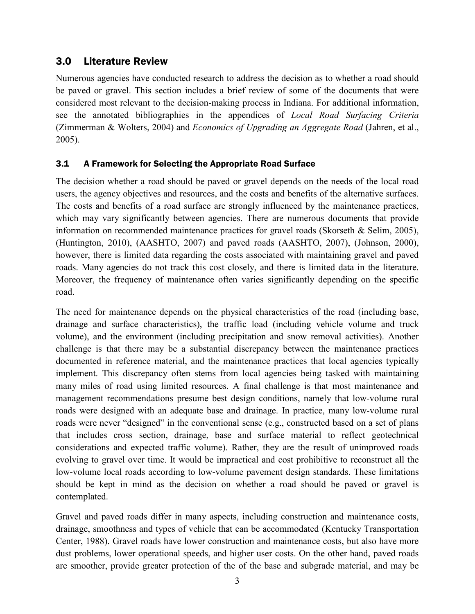# <span id="page-9-0"></span>3.0 Literature Review

Numerous agencies have conducted research to address the decision as to whether a road should be paved or gravel. This section includes a brief review of some of the documents that were considered most relevant to the decision-making process in Indiana. For additional information, see the annotated bibliographies in the appendices of *Local Road Surfacing Criteria* (Zimmerman & Wolters, 2004) and *Economics of Upgrading an Aggregate Road* (Jahren, et al., 2005).

# <span id="page-9-1"></span>3.1 A Framework for Selecting the Appropriate Road Surface

The decision whether a road should be paved or gravel depends on the needs of the local road users, the agency objectives and resources, and the costs and benefits of the alternative surfaces. The costs and benefits of a road surface are strongly influenced by the maintenance practices, which may vary significantly between agencies. There are numerous documents that provide information on recommended maintenance practices for gravel roads (Skorseth & Selim, 2005), (Huntington, 2010), (AASHTO, 2007) and paved roads (AASHTO, 2007), (Johnson, 2000), however, there is limited data regarding the costs associated with maintaining gravel and paved roads. Many agencies do not track this cost closely, and there is limited data in the literature. Moreover, the frequency of maintenance often varies significantly depending on the specific road.

The need for maintenance depends on the physical characteristics of the road (including base, drainage and surface characteristics), the traffic load (including vehicle volume and truck volume), and the environment (including precipitation and snow removal activities). Another challenge is that there may be a substantial discrepancy between the maintenance practices documented in reference material, and the maintenance practices that local agencies typically implement. This discrepancy often stems from local agencies being tasked with maintaining many miles of road using limited resources. A final challenge is that most maintenance and management recommendations presume best design conditions, namely that low-volume rural roads were designed with an adequate base and drainage. In practice, many low-volume rural roads were never "designed" in the conventional sense (e.g., constructed based on a set of plans that includes cross section, drainage, base and surface material to reflect geotechnical considerations and expected traffic volume). Rather, they are the result of unimproved roads evolving to gravel over time. It would be impractical and cost prohibitive to reconstruct all the low-volume local roads according to low-volume pavement design standards. These limitations should be kept in mind as the decision on whether a road should be paved or gravel is contemplated.

Gravel and paved roads differ in many aspects, including construction and maintenance costs, drainage, smoothness and types of vehicle that can be accommodated (Kentucky Transportation Center, 1988). Gravel roads have lower construction and maintenance costs, but also have more dust problems, lower operational speeds, and higher user costs. On the other hand, paved roads are smoother, provide greater protection of the of the base and subgrade material, and may be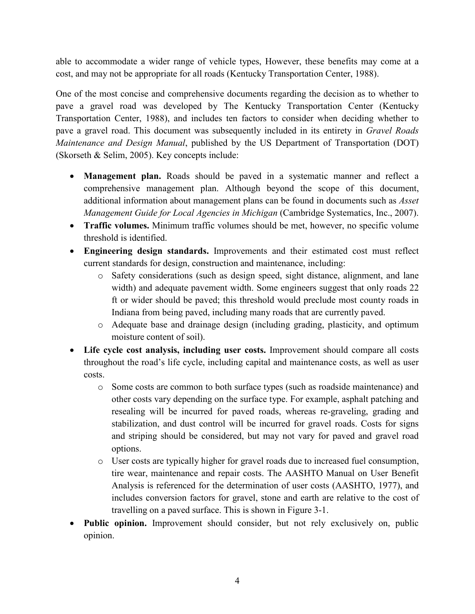able to accommodate a wider range of vehicle types, However, these benefits may come at a cost, and may not be appropriate for all roads (Kentucky Transportation Center, 1988).

One of the most concise and comprehensive documents regarding the decision as to whether to pave a gravel road was developed by The Kentucky Transportation Center (Kentucky Transportation Center, 1988), and includes ten factors to consider when deciding whether to pave a gravel road. This document was subsequently included in its entirety in *Gravel Roads Maintenance and Design Manual*, published by the US Department of Transportation (DOT) (Skorseth & Selim, 2005). Key concepts include:

- **Management plan.** Roads should be paved in a systematic manner and reflect a comprehensive management plan. Although beyond the scope of this document, additional information about management plans can be found in documents such as *Asset Management Guide for Local Agencies in Michigan* (Cambridge Systematics, Inc., 2007).
- **Traffic volumes.** Minimum traffic volumes should be met, however, no specific volume threshold is identified.
- **Engineering design standards.** Improvements and their estimated cost must reflect current standards for design, construction and maintenance, including:
	- o Safety considerations (such as design speed, sight distance, alignment, and lane width) and adequate pavement width. Some engineers suggest that only roads 22 ft or wider should be paved; this threshold would preclude most county roads in Indiana from being paved, including many roads that are currently paved.
	- o Adequate base and drainage design (including grading, plasticity, and optimum moisture content of soil).
- Life cycle cost analysis, including user costs. Improvement should compare all costs throughout the road's life cycle, including capital and maintenance costs, as well as user costs.
	- o Some costs are common to both surface types (such as roadside maintenance) and other costs vary depending on the surface type. For example, asphalt patching and resealing will be incurred for paved roads, whereas re-graveling, grading and stabilization, and dust control will be incurred for gravel roads. Costs for signs and striping should be considered, but may not vary for paved and gravel road options.
	- o User costs are typically higher for gravel roads due to increased fuel consumption, tire wear, maintenance and repair costs. The AASHTO Manual on User Benefit Analysis is referenced for the determination of user costs (AASHTO, 1977), and includes conversion factors for gravel, stone and earth are relative to the cost of travelling on a paved surface. This is shown in Figure 3-1.
- **Public opinion.** Improvement should consider, but not rely exclusively on, public opinion.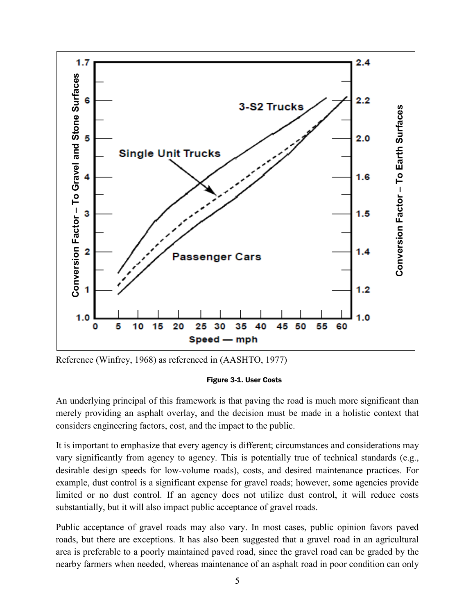

Reference (Winfrey, 1968) as referenced in (AASHTO, 1977)



<span id="page-11-0"></span>An underlying principal of this framework is that paving the road is much more significant than merely providing an asphalt overlay, and the decision must be made in a holistic context that considers engineering factors, cost, and the impact to the public.

It is important to emphasize that every agency is different; circumstances and considerations may vary significantly from agency to agency. This is potentially true of technical standards (e.g., desirable design speeds for low-volume roads), costs, and desired maintenance practices. For example, dust control is a significant expense for gravel roads; however, some agencies provide limited or no dust control. If an agency does not utilize dust control, it will reduce costs substantially, but it will also impact public acceptance of gravel roads.

Public acceptance of gravel roads may also vary. In most cases, public opinion favors paved roads, but there are exceptions. It has also been suggested that a gravel road in an agricultural area is preferable to a poorly maintained paved road, since the gravel road can be graded by the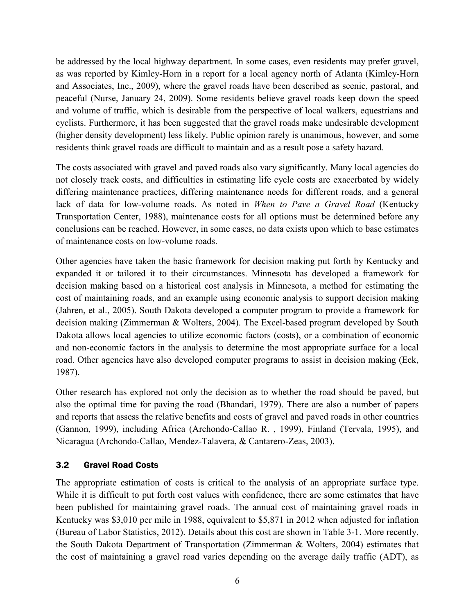be addressed by the local highway department. In some cases, even residents may prefer gravel, as was reported by Kimley-Horn in a report for a local agency north of Atlanta (Kimley-Horn and Associates, Inc., 2009), where the gravel roads have been described as scenic, pastoral, and peaceful (Nurse, January 24, 2009). Some residents believe gravel roads keep down the speed and volume of traffic, which is desirable from the perspective of local walkers, equestrians and cyclists. Furthermore, it has been suggested that the gravel roads make undesirable development (higher density development) less likely. Public opinion rarely is unanimous, however, and some residents think gravel roads are difficult to maintain and as a result pose a safety hazard.

The costs associated with gravel and paved roads also vary significantly. Many local agencies do not closely track costs, and difficulties in estimating life cycle costs are exacerbated by widely differing maintenance practices, differing maintenance needs for different roads, and a general lack of data for low-volume roads. As noted in *When to Pave a Gravel Road* (Kentucky Transportation Center, 1988), maintenance costs for all options must be determined before any conclusions can be reached. However, in some cases, no data exists upon which to base estimates of maintenance costs on low-volume roads.

Other agencies have taken the basic framework for decision making put forth by Kentucky and expanded it or tailored it to their circumstances. Minnesota has developed a framework for decision making based on a historical cost analysis in Minnesota, a method for estimating the cost of maintaining roads, and an example using economic analysis to support decision making (Jahren, et al., 2005). South Dakota developed a computer program to provide a framework for decision making (Zimmerman & Wolters, 2004). The Excel-based program developed by South Dakota allows local agencies to utilize economic factors (costs), or a combination of economic and non-economic factors in the analysis to determine the most appropriate surface for a local road. Other agencies have also developed computer programs to assist in decision making (Eck, 1987).

Other research has explored not only the decision as to whether the road should be paved, but also the optimal time for paving the road (Bhandari, 1979). There are also a number of papers and reports that assess the relative benefits and costs of gravel and paved roads in other countries (Gannon, 1999), including Africa (Archondo-Callao R. , 1999), Finland (Tervala, 1995), and Nicaragua (Archondo-Callao, Mendez-Talavera, & Cantarero-Zeas, 2003).

# <span id="page-12-0"></span>3.2 Gravel Road Costs

The appropriate estimation of costs is critical to the analysis of an appropriate surface type. While it is difficult to put forth cost values with confidence, there are some estimates that have been published for maintaining gravel roads. The annual cost of maintaining gravel roads in Kentucky was \$3,010 per mile in 1988, equivalent to \$5,871 in 2012 when adjusted for inflation (Bureau of Labor Statistics, 2012). Details about this cost are shown in [Table 3-1.](#page-13-0) More recently, the South Dakota Department of Transportation (Zimmerman & Wolters, 2004) estimates that the cost of maintaining a gravel road varies depending on the average daily traffic (ADT), as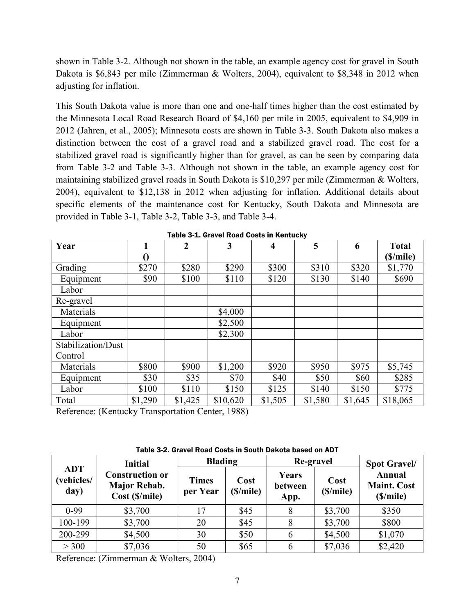shown in [Table 3-2.](#page-13-1) Although not shown in the table, an example agency cost for gravel in South Dakota is \$6,843 per mile (Zimmerman & Wolters, 2004), equivalent to \$8,348 in 2012 when adjusting for inflation.

This South Dakota value is more than one and one-half times higher than the cost estimated by the Minnesota Local Road Research Board of \$4,160 per mile in 2005, equivalent to \$4,909 in 2012 (Jahren, et al., 2005); Minnesota costs are shown in [Table 3-3.](#page-14-0) South Dakota also makes a distinction between the cost of a gravel road and a stabilized gravel road. The cost for a stabilized gravel road is significantly higher than for gravel, as can be seen by comparing data from [Table 3-2](#page-13-1) and [Table 3-3.](#page-14-0) Although not shown in the table, an example agency cost for maintaining stabilized gravel roads in South Dakota is \$10,297 per mile (Zimmerman & Wolters, 2004), equivalent to \$12,138 in 2012 when adjusting for inflation. Additional details about specific elements of the maintenance cost for Kentucky, South Dakota and Minnesota are provided in [Table 3-1,](#page-13-0) [Table 3-2,](#page-13-1) [Table 3-3,](#page-14-0) and [Table 3-4.](#page-14-1)

<span id="page-13-0"></span>

| Year               |         | $\overline{2}$ | 3        | $\overline{\mathbf{4}}$ | 5       | 6       | <b>Total</b> |
|--------------------|---------|----------------|----------|-------------------------|---------|---------|--------------|
|                    |         |                |          |                         |         |         | (\$/mile)    |
| Grading            | \$270   | \$280          | \$290    | \$300                   | \$310   | \$320   | \$1,770      |
| Equipment          | \$90    | \$100          | \$110    | \$120                   | \$130   | \$140   | \$690        |
| Labor              |         |                |          |                         |         |         |              |
| Re-gravel          |         |                |          |                         |         |         |              |
| Materials          |         |                | \$4,000  |                         |         |         |              |
| Equipment          |         |                | \$2,500  |                         |         |         |              |
| Labor              |         |                | \$2,300  |                         |         |         |              |
| Stabilization/Dust |         |                |          |                         |         |         |              |
| Control            |         |                |          |                         |         |         |              |
| Materials          | \$800   | \$900          | \$1,200  | \$920                   | \$950   | \$975   | \$5,745      |
| Equipment          | \$30    | \$35           | \$70     | \$40                    | \$50    | \$60    | \$285        |
| Labor              | \$100   | \$110          | \$150    | \$125                   | \$140   | \$150   | \$775        |
| Total              | \$1,290 | \$1,425        | \$10,620 | \$1,505                 | \$1,580 | \$1,645 | \$18,065     |

| Table 3-1. Gravel Road Costs in Kentucky |  |
|------------------------------------------|--|
|------------------------------------------|--|

Reference: (Kentucky Transportation Center, 1988)

Table 3-2. Gravel Road Costs in South Dakota based on ADT

<span id="page-13-1"></span>

|                                  | <b>Initial</b>                                                  | <b>Blading</b>                                |      | Re-gravel                | <b>Spot Gravel/</b><br><b>Annual</b><br><b>Maint. Cost</b><br>(\$/mile) |         |
|----------------------------------|-----------------------------------------------------------------|-----------------------------------------------|------|--------------------------|-------------------------------------------------------------------------|---------|
| <b>ADT</b><br>(vehicles/<br>day) | <b>Construction or</b><br><b>Major Rehab.</b><br>Cost (\$/mile) | Cost<br><b>Times</b><br>per Year<br>(\$/mile) |      | Years<br>between<br>App. |                                                                         |         |
| $0-99$                           | \$3,700                                                         | 17                                            | \$45 | 8                        | \$3,700                                                                 | \$350   |
| 100-199                          | \$3,700                                                         | 20                                            | \$45 | 8                        | \$3,700                                                                 | \$800   |
| 200-299                          | \$4,500                                                         | 30                                            | \$50 | 6                        | \$4,500                                                                 | \$1,070 |
| > 300                            | \$7,036                                                         | 50                                            | \$65 | 6                        | \$7,036                                                                 | \$2,420 |

Reference: (Zimmerman & Wolters, 2004)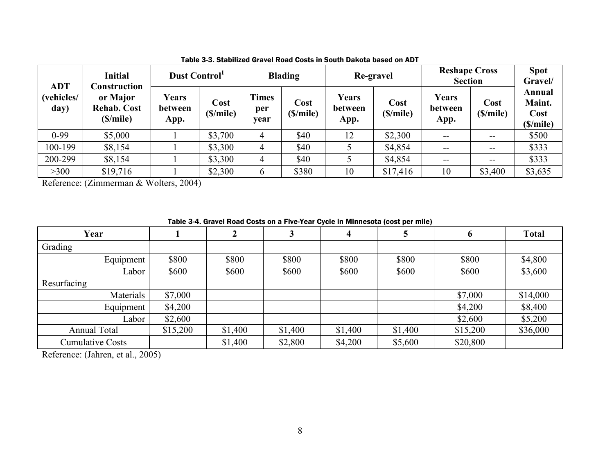| <b>ADT</b>         | <b>Initial</b><br>Construction             |                                 | Dust Control     |                             | <b>Blading</b>   |                          | Re-gravel        |                          | <b>Reshape Cross</b><br><b>Section</b> |                                      |
|--------------------|--------------------------------------------|---------------------------------|------------------|-----------------------------|------------------|--------------------------|------------------|--------------------------|----------------------------------------|--------------------------------------|
| (vehicles/<br>day) | or Major<br><b>Rehab. Cost</b><br>(S/mile) | <b>Years</b><br>between<br>App. | Cost<br>(S/mile) | <b>Times</b><br>per<br>year | Cost<br>(S/mile) | Years<br>between<br>App. | Cost<br>(S/mile) | Years<br>between<br>App. | Cost<br>(\$/mile)                      | Annual<br>Maint.<br>Cost<br>(S/mile) |
| $0-99$             | \$5,000                                    |                                 | \$3,700          |                             | \$40             | 12                       | \$2,300          | $- -$                    | $- -$                                  | \$500                                |
| 100-199            | \$8,154                                    |                                 | \$3,300          | 4                           | \$40             |                          | \$4,854          | --                       | --                                     | \$333                                |
| 200-299            | \$8,154                                    |                                 | \$3,300          | 4                           | \$40             |                          | \$4,854          | $- -$                    | --                                     | \$333                                |
| >300               | \$19,716                                   |                                 | \$2,300          | 6                           | \$380            | 10                       | \$17,416         | 10                       | \$3,400                                | \$3,635                              |

Table 3-3. Stabilized Gravel Road Costs in South Dakota based on ADT

<span id="page-14-0"></span>Reference: (Zimmerman & Wolters, 2004)

#### Table 3-4. Gravel Road Costs on a Five-Year Cycle in Minnesota (cost per mile)

| Year                    |          | າ<br>◢  | 3       | 4       | 5       | b        | <b>Total</b> |
|-------------------------|----------|---------|---------|---------|---------|----------|--------------|
| Grading                 |          |         |         |         |         |          |              |
| Equipment               | \$800    | \$800   | \$800   | \$800   | \$800   | \$800    | \$4,800      |
| _abor                   | \$600    | \$600   | \$600   | \$600   | \$600   | \$600    | \$3,600      |
| Resurfacing             |          |         |         |         |         |          |              |
| Materials               | \$7,000  |         |         |         |         | \$7,000  | \$14,000     |
| Equipment               | \$4,200  |         |         |         |         | \$4,200  | \$8,400      |
| ∟abor                   | \$2,600  |         |         |         |         | \$2,600  | \$5,200      |
| <b>Annual Total</b>     | \$15,200 | \$1,400 | \$1,400 | \$1,400 | \$1,400 | \$15,200 | \$36,000     |
| <b>Cumulative Costs</b> |          | \$1,400 | \$2,800 | \$4,200 | \$5,600 | \$20,800 |              |

<span id="page-14-1"></span>Reference: (Jahren, et al., 2005)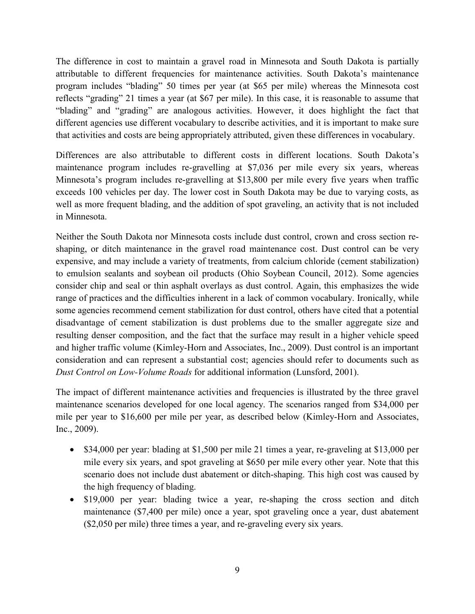The difference in cost to maintain a gravel road in Minnesota and South Dakota is partially attributable to different frequencies for maintenance activities. South Dakota's maintenance program includes "blading" 50 times per year (at \$65 per mile) whereas the Minnesota cost reflects "grading" 21 times a year (at \$67 per mile). In this case, it is reasonable to assume that "blading" and "grading" are analogous activities. However, it does highlight the fact that different agencies use different vocabulary to describe activities, and it is important to make sure that activities and costs are being appropriately attributed, given these differences in vocabulary.

Differences are also attributable to different costs in different locations. South Dakota's maintenance program includes re-gravelling at \$7,036 per mile every six years, whereas Minnesota's program includes re-gravelling at \$13,800 per mile every five years when traffic exceeds 100 vehicles per day. The lower cost in South Dakota may be due to varying costs, as well as more frequent blading, and the addition of spot graveling, an activity that is not included in Minnesota.

Neither the South Dakota nor Minnesota costs include dust control, crown and cross section reshaping, or ditch maintenance in the gravel road maintenance cost. Dust control can be very expensive, and may include a variety of treatments, from calcium chloride (cement stabilization) to emulsion sealants and soybean oil products (Ohio Soybean Council, 2012). Some agencies consider chip and seal or thin asphalt overlays as dust control. Again, this emphasizes the wide range of practices and the difficulties inherent in a lack of common vocabulary. Ironically, while some agencies recommend cement stabilization for dust control, others have cited that a potential disadvantage of cement stabilization is dust problems due to the smaller aggregate size and resulting denser composition, and the fact that the surface may result in a higher vehicle speed and higher traffic volume (Kimley-Horn and Associates, Inc., 2009). Dust control is an important consideration and can represent a substantial cost; agencies should refer to documents such as *Dust Control on Low-Volume Roads* for additional information (Lunsford, 2001).

The impact of different maintenance activities and frequencies is illustrated by the three gravel maintenance scenarios developed for one local agency. The scenarios ranged from \$34,000 per mile per year to \$16,600 per mile per year, as described below (Kimley-Horn and Associates, Inc., 2009).

- $\bullet$  \$34,000 per year: blading at \$1,500 per mile 21 times a year, re-graveling at \$13,000 per mile every six years, and spot graveling at \$650 per mile every other year. Note that this scenario does not include dust abatement or ditch-shaping. This high cost was caused by the high frequency of blading.
- \$19,000 per year: blading twice a year, re-shaping the cross section and ditch maintenance (\$7,400 per mile) once a year, spot graveling once a year, dust abatement (\$2,050 per mile) three times a year, and re-graveling every six years.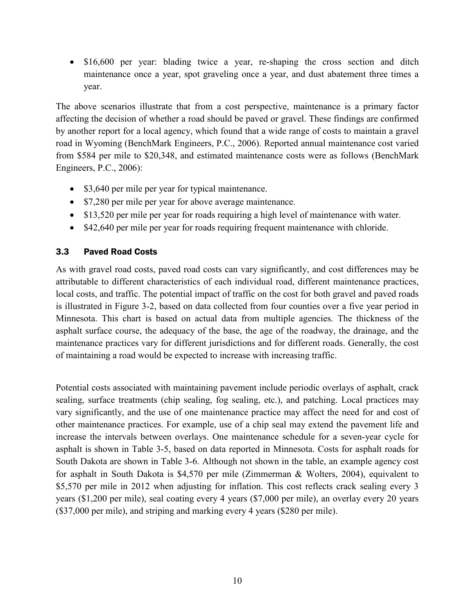• \$16,600 per year: blading twice a year, re-shaping the cross section and ditch maintenance once a year, spot graveling once a year, and dust abatement three times a year.

The above scenarios illustrate that from a cost perspective, maintenance is a primary factor affecting the decision of whether a road should be paved or gravel. These findings are confirmed by another report for a local agency, which found that a wide range of costs to maintain a gravel road in Wyoming (BenchMark Engineers, P.C., 2006). Reported annual maintenance cost varied from \$584 per mile to \$20,348, and estimated maintenance costs were as follows (BenchMark Engineers, P.C., 2006):

- \$3,640 per mile per year for typical maintenance.
- \$7,280 per mile per year for above average maintenance.
- \$13,520 per mile per year for roads requiring a high level of maintenance with water.
- \$42,640 per mile per year for roads requiring frequent maintenance with chloride.

# <span id="page-16-0"></span>3.3 Paved Road Costs

As with gravel road costs, paved road costs can vary significantly, and cost differences may be attributable to different characteristics of each individual road, different maintenance practices, local costs, and traffic. The potential impact of traffic on the cost for both gravel and paved roads is illustrated in [Figure 3-2,](#page-17-1) based on data collected from four counties over a five year period in Minnesota. This chart is based on actual data from multiple agencies. The thickness of the asphalt surface course, the adequacy of the base, the age of the roadway, the drainage, and the maintenance practices vary for different jurisdictions and for different roads. Generally, the cost of maintaining a road would be expected to increase with increasing traffic.

Potential costs associated with maintaining pavement include periodic overlays of asphalt, crack sealing, surface treatments (chip sealing, fog sealing, etc.), and patching. Local practices may vary significantly, and the use of one maintenance practice may affect the need for and cost of other maintenance practices. For example, use of a chip seal may extend the pavement life and increase the intervals between overlays. One maintenance schedule for a seven-year cycle for asphalt is shown in [Table 3-5,](#page-18-0) based on data reported in Minnesota. Costs for asphalt roads for South Dakota are shown in [Table 3-6.](#page-18-1) Although not shown in the table, an example agency cost for asphalt in South Dakota is \$4,570 per mile (Zimmerman & Wolters, 2004), equivalent to \$5,570 per mile in 2012 when adjusting for inflation. This cost reflects crack sealing every 3 years (\$1,200 per mile), seal coating every 4 years (\$7,000 per mile), an overlay every 20 years (\$37,000 per mile), and striping and marking every 4 years (\$280 per mile).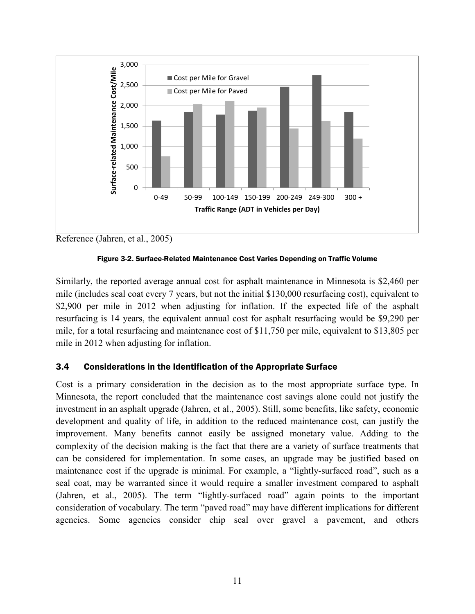

<span id="page-17-1"></span>Reference (Jahren, et al., 2005)



Similarly, the reported average annual cost for asphalt maintenance in Minnesota is \$2,460 per mile (includes seal coat every 7 years, but not the initial \$130,000 resurfacing cost), equivalent to \$2,900 per mile in 2012 when adjusting for inflation. If the expected life of the asphalt resurfacing is 14 years, the equivalent annual cost for asphalt resurfacing would be \$9,290 per mile, for a total resurfacing and maintenance cost of \$11,750 per mile, equivalent to \$13,805 per mile in 2012 when adjusting for inflation.

# <span id="page-17-0"></span>3.4 Considerations in the Identification of the Appropriate Surface

Cost is a primary consideration in the decision as to the most appropriate surface type. In Minnesota, the report concluded that the maintenance cost savings alone could not justify the investment in an asphalt upgrade (Jahren, et al., 2005). Still, some benefits, like safety, economic development and quality of life, in addition to the reduced maintenance cost, can justify the improvement. Many benefits cannot easily be assigned monetary value. Adding to the complexity of the decision making is the fact that there are a variety of surface treatments that can be considered for implementation. In some cases, an upgrade may be justified based on maintenance cost if the upgrade is minimal. For example, a "lightly-surfaced road", such as a seal coat, may be warranted since it would require a smaller investment compared to asphalt (Jahren, et al., 2005). The term "lightly-surfaced road" again points to the important consideration of vocabulary. The term "paved road" may have different implications for different agencies. Some agencies consider chip seal over gravel a pavement, and others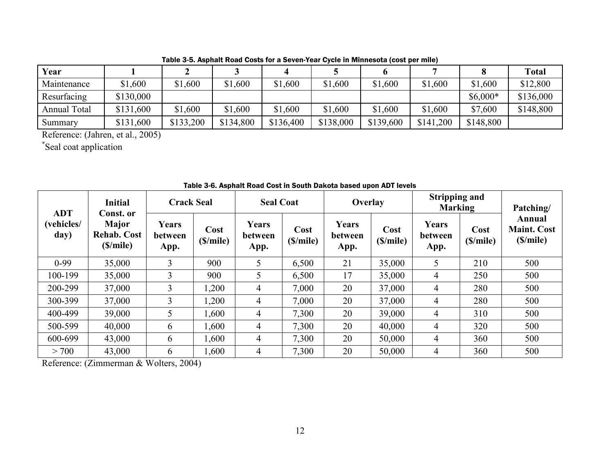| Year                |           |           |           |           |           |           |           |           | <b>Total</b> |
|---------------------|-----------|-----------|-----------|-----------|-----------|-----------|-----------|-----------|--------------|
| Maintenance         | \$1,600   | \$1,600   | \$1,600   | \$1,600   | \$1,600   | \$1,600   | \$1,600   | \$1,600   | \$12,800     |
| Resurfacing         | \$130,000 |           |           |           |           |           |           | $$6,000*$ | \$136,000    |
| <b>Annual Total</b> | \$131,600 | \$1,600   | \$1,600   | \$1,600   | \$1,600   | \$1,600   | \$1,600   | \$7,600   | \$148,800    |
| Summary             | \$131,600 | \$133,200 | \$134,800 | \$136,400 | \$138,000 | \$139,600 | \$141,200 | \$148,800 |              |

Table 3-5. Asphalt Road Costs for a Seven-Year Cycle in Minnesota (cost per mile)

Reference: (Jahren, et al., 2005)

\* Seal coat application

<span id="page-18-0"></span>

| <b>Initial</b><br><b>ADT</b> |                                                             | <b>Crack Seal</b>        |                  | <b>Seal Coat</b>         |                  | Overlay                  |                  | <b>Stripping and</b><br><b>Marking</b> |                  | Patching/                                |
|------------------------------|-------------------------------------------------------------|--------------------------|------------------|--------------------------|------------------|--------------------------|------------------|----------------------------------------|------------------|------------------------------------------|
| (vehicles/<br>day)           | Const. or<br><b>Major</b><br><b>Rehab. Cost</b><br>(S/mile) | Years<br>between<br>App. | Cost<br>(S/mile) | Years<br>between<br>App. | Cost<br>(S/mile) | Years<br>between<br>App. | Cost<br>(S/mile) | Years<br>between<br>App.               | Cost<br>(S/mile) | Annual<br><b>Maint. Cost</b><br>(S/mile) |
| $0-99$                       | 35,000                                                      | $\overline{3}$           | 900              | 5 <sup>5</sup>           | 6,500            | 21                       | 35,000           | 5                                      | 210              | 500                                      |
| 100-199                      | 35,000                                                      | 3                        | 900              | 5                        | 6,500            | 17                       | 35,000           | 4                                      | 250              | 500                                      |
| 200-299                      | 37,000                                                      | 3                        | 1,200            | 4                        | 7,000            | 20                       | 37,000           | 4                                      | 280              | 500                                      |
| 300-399                      | 37,000                                                      | 3                        | 1,200            | $\overline{4}$           | 7,000            | 20                       | 37,000           | 4                                      | 280              | 500                                      |
| 400-499                      | 39,000                                                      | 5                        | 1,600            | 4                        | 7,300            | 20                       | 39,000           | 4                                      | 310              | 500                                      |
| 500-599                      | 40,000                                                      | 6                        | 1,600            | 4                        | 7,300            | 20                       | 40,000           | 4                                      | 320              | 500                                      |
| 600-699                      | 43,000                                                      | 6                        | 1,600            | $\overline{4}$           | 7,300            | 20                       | 50,000           | $\overline{4}$                         | 360              | 500                                      |
| > 700                        | 43,000                                                      | 6                        | 1,600            | 4                        | 7,300            | 20                       | 50,000           | 4                                      | 360              | 500                                      |

Table 3-6. Asphalt Road Cost in South Dakota based upon ADT levels

<span id="page-18-1"></span>Reference: (Zimmerman & Wolters, 2004)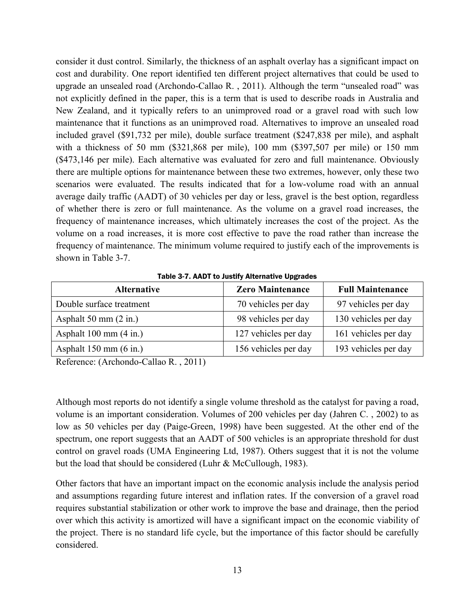consider it dust control. Similarly, the thickness of an asphalt overlay has a significant impact on cost and durability. One report identified ten different project alternatives that could be used to upgrade an unsealed road (Archondo-Callao R. , 2011). Although the term "unsealed road" was not explicitly defined in the paper, this is a term that is used to describe roads in Australia and New Zealand, and it typically refers to an unimproved road or a gravel road with such low maintenance that it functions as an unimproved road. Alternatives to improve an unsealed road included gravel (\$91,732 per mile), double surface treatment (\$247,838 per mile), and asphalt with a thickness of 50 mm (\$321,868 per mile), 100 mm (\$397,507 per mile) or 150 mm (\$473,146 per mile). Each alternative was evaluated for zero and full maintenance. Obviously there are multiple options for maintenance between these two extremes, however, only these two scenarios were evaluated. The results indicated that for a low-volume road with an annual average daily traffic (AADT) of 30 vehicles per day or less, gravel is the best option, regardless of whether there is zero or full maintenance. As the volume on a gravel road increases, the frequency of maintenance increases, which ultimately increases the cost of the project. As the volume on a road increases, it is more cost effective to pave the road rather than increase the frequency of maintenance. The minimum volume required to justify each of the improvements is shown in [Table 3-7.](#page-19-0)

<span id="page-19-0"></span>

| <b>Alternative</b>               | <b>Zero Maintenance</b> | <b>Full Maintenance</b> |
|----------------------------------|-------------------------|-------------------------|
| Double surface treatment         | 70 vehicles per day     | 97 vehicles per day     |
| Asphalt 50 mm $(2 \text{ in.})$  | 98 vehicles per day     | 130 vehicles per day    |
| Asphalt $100 \text{ mm}$ (4 in.) | 127 vehicles per day    | 161 vehicles per day    |
| Asphalt $150 \text{ mm}$ (6 in.) | 156 vehicles per day    | 193 vehicles per day    |

Table 3-7. AADT to Justify Alternative Upgrades

Reference: (Archondo-Callao R. , 2011)

Although most reports do not identify a single volume threshold as the catalyst for paving a road, volume is an important consideration. Volumes of 200 vehicles per day (Jahren C. , 2002) to as low as 50 vehicles per day (Paige-Green, 1998) have been suggested. At the other end of the spectrum, one report suggests that an AADT of 500 vehicles is an appropriate threshold for dust control on gravel roads (UMA Engineering Ltd, 1987). Others suggest that it is not the volume but the load that should be considered (Luhr & McCullough, 1983).

Other factors that have an important impact on the economic analysis include the analysis period and assumptions regarding future interest and inflation rates. If the conversion of a gravel road requires substantial stabilization or other work to improve the base and drainage, then the period over which this activity is amortized will have a significant impact on the economic viability of the project. There is no standard life cycle, but the importance of this factor should be carefully considered.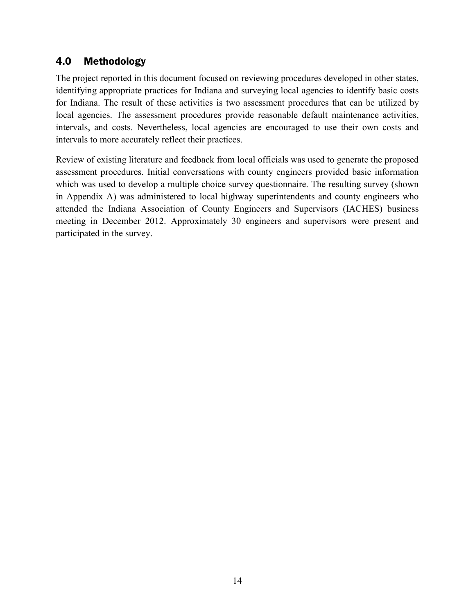# <span id="page-20-0"></span>4.0 Methodology

The project reported in this document focused on reviewing procedures developed in other states, identifying appropriate practices for Indiana and surveying local agencies to identify basic costs for Indiana. The result of these activities is two assessment procedures that can be utilized by local agencies. The assessment procedures provide reasonable default maintenance activities, intervals, and costs. Nevertheless, local agencies are encouraged to use their own costs and intervals to more accurately reflect their practices.

Review of existing literature and feedback from local officials was used to generate the proposed assessment procedures. Initial conversations with county engineers provided basic information which was used to develop a multiple choice survey questionnaire. The resulting survey (shown in Appendix A) was administered to local highway superintendents and county engineers who attended the Indiana Association of County Engineers and Supervisors (IACHES) business meeting in December 2012. Approximately 30 engineers and supervisors were present and participated in the survey.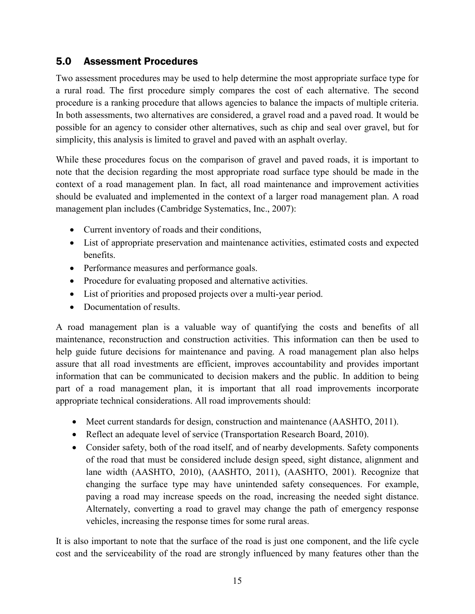# <span id="page-21-0"></span>5.0 Assessment Procedures

Two assessment procedures may be used to help determine the most appropriate surface type for a rural road. The first procedure simply compares the cost of each alternative. The second procedure is a ranking procedure that allows agencies to balance the impacts of multiple criteria. In both assessments, two alternatives are considered, a gravel road and a paved road. It would be possible for an agency to consider other alternatives, such as chip and seal over gravel, but for simplicity, this analysis is limited to gravel and paved with an asphalt overlay.

While these procedures focus on the comparison of gravel and paved roads, it is important to note that the decision regarding the most appropriate road surface type should be made in the context of a road management plan. In fact, all road maintenance and improvement activities should be evaluated and implemented in the context of a larger road management plan. A road management plan includes (Cambridge Systematics, Inc., 2007):

- Current inventory of roads and their conditions,
- List of appropriate preservation and maintenance activities, estimated costs and expected benefits.
- Performance measures and performance goals.
- Procedure for evaluating proposed and alternative activities.
- List of priorities and proposed projects over a multi-year period.
- Documentation of results.

A road management plan is a valuable way of quantifying the costs and benefits of all maintenance, reconstruction and construction activities. This information can then be used to help guide future decisions for maintenance and paving. A road management plan also helps assure that all road investments are efficient, improves accountability and provides important information that can be communicated to decision makers and the public. In addition to being part of a road management plan, it is important that all road improvements incorporate appropriate technical considerations. All road improvements should:

- Meet current standards for design, construction and maintenance (AASHTO, 2011).
- Reflect an adequate level of service (Transportation Research Board, 2010).
- Consider safety, both of the road itself, and of nearby developments. Safety components of the road that must be considered include design speed, sight distance, alignment and lane width (AASHTO, 2010), (AASHTO, 2011), (AASHTO, 2001). Recognize that changing the surface type may have unintended safety consequences. For example, paving a road may increase speeds on the road, increasing the needed sight distance. Alternately, converting a road to gravel may change the path of emergency response vehicles, increasing the response times for some rural areas.

It is also important to note that the surface of the road is just one component, and the life cycle cost and the serviceability of the road are strongly influenced by many features other than the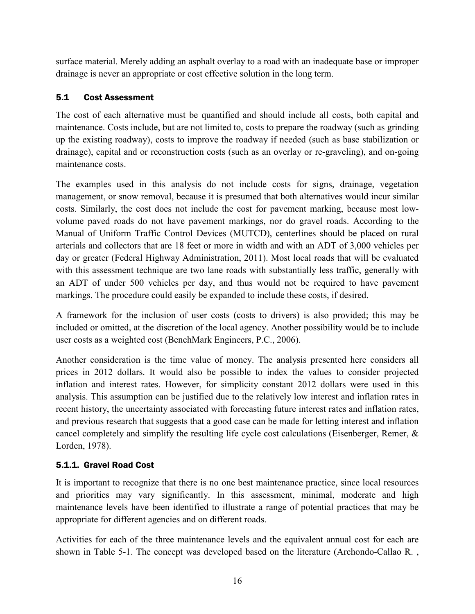surface material. Merely adding an asphalt overlay to a road with an inadequate base or improper drainage is never an appropriate or cost effective solution in the long term.

# <span id="page-22-0"></span>5.1 Cost Assessment

The cost of each alternative must be quantified and should include all costs, both capital and maintenance. Costs include, but are not limited to, costs to prepare the roadway (such as grinding up the existing roadway), costs to improve the roadway if needed (such as base stabilization or drainage), capital and or reconstruction costs (such as an overlay or re-graveling), and on-going maintenance costs.

The examples used in this analysis do not include costs for signs, drainage, vegetation management, or snow removal, because it is presumed that both alternatives would incur similar costs. Similarly, the cost does not include the cost for pavement marking, because most lowvolume paved roads do not have pavement markings, nor do gravel roads. According to the Manual of Uniform Traffic Control Devices (MUTCD), centerlines should be placed on rural arterials and collectors that are 18 feet or more in width and with an ADT of 3,000 vehicles per day or greater (Federal Highway Administration, 2011). Most local roads that will be evaluated with this assessment technique are two lane roads with substantially less traffic, generally with an ADT of under 500 vehicles per day, and thus would not be required to have pavement markings. The procedure could easily be expanded to include these costs, if desired.

A framework for the inclusion of user costs (costs to drivers) is also provided; this may be included or omitted, at the discretion of the local agency. Another possibility would be to include user costs as a weighted cost (BenchMark Engineers, P.C., 2006).

Another consideration is the time value of money. The analysis presented here considers all prices in 2012 dollars. It would also be possible to index the values to consider projected inflation and interest rates. However, for simplicity constant 2012 dollars were used in this analysis. This assumption can be justified due to the relatively low interest and inflation rates in recent history, the uncertainty associated with forecasting future interest rates and inflation rates, and previous research that suggests that a good case can be made for letting interest and inflation cancel completely and simplify the resulting life cycle cost calculations (Eisenberger, Remer, & Lorden, 1978).

# <span id="page-22-1"></span>5.1.1. Gravel Road Cost

It is important to recognize that there is no one best maintenance practice, since local resources and priorities may vary significantly. In this assessment, minimal, moderate and high maintenance levels have been identified to illustrate a range of potential practices that may be appropriate for different agencies and on different roads.

Activities for each of the three maintenance levels and the equivalent annual cost for each are shown in [Table 5-1.](#page-23-0) The concept was developed based on the literature (Archondo-Callao R. ,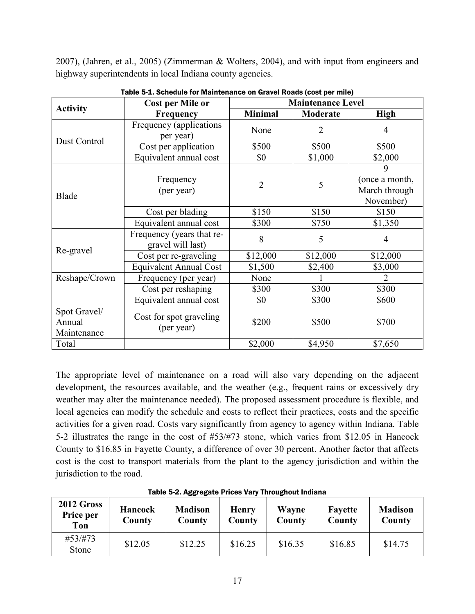2007), (Jahren, et al., 2005) (Zimmerman & Wolters, 2004), and with input from engineers and highway superintendents in local Indiana county agencies.

<span id="page-23-0"></span>

|                                       | <b>Cost per Mile or</b>                        |                | <b>Maintenance Level</b> |                                                   |  |
|---------------------------------------|------------------------------------------------|----------------|--------------------------|---------------------------------------------------|--|
| <b>Activity</b>                       | Frequency                                      | <b>Minimal</b> | <b>Moderate</b>          | <b>High</b>                                       |  |
| Dust Control                          | Frequency (applications<br>per year)           | None           | $\overline{2}$           | 4                                                 |  |
|                                       | Cost per application                           | \$500          | \$500                    | \$500                                             |  |
|                                       | Equivalent annual cost                         | \$0            | \$1,000                  | \$2,000                                           |  |
| Blade                                 | Frequency<br>(per year)                        | $\overline{2}$ | 5                        | 9<br>(once a month,<br>March through<br>November) |  |
|                                       | Cost per blading                               | \$150          | \$150                    | \$150                                             |  |
|                                       | Equivalent annual cost                         | \$300          | \$750                    | \$1,350                                           |  |
|                                       | Frequency (years that re-<br>gravel will last) | 8              | 5                        | 4                                                 |  |
| Re-gravel                             | Cost per re-graveling                          | \$12,000       | \$12,000                 | \$12,000                                          |  |
|                                       | <b>Equivalent Annual Cost</b>                  | \$1,500        | \$2,400                  | \$3,000                                           |  |
| Reshape/Crown                         | Frequency (per year)                           | None           |                          | $\overline{2}$                                    |  |
|                                       | Cost per reshaping                             | \$300          | \$300                    | \$300                                             |  |
|                                       | Equivalent annual cost                         | \$0            | \$300                    | \$600                                             |  |
| Spot Gravel/<br>Annual<br>Maintenance | Cost for spot graveling<br>(per year)          | \$200          | \$500                    | \$700                                             |  |
| Total                                 |                                                | \$2,000        | \$4,950                  | \$7,650                                           |  |

Table 5-1. Schedule for Maintenance on Gravel Roads (cost per mile)

The appropriate level of maintenance on a road will also vary depending on the adjacent development, the resources available, and the weather (e.g., frequent rains or excessively dry weather may alter the maintenance needed). The proposed assessment procedure is flexible, and local agencies can modify the schedule and costs to reflect their practices, costs and the specific activities for a given road. Costs vary significantly from agency to agency within Indiana. [Table](#page-23-1)  [5-2](#page-23-1) illustrates the range in the cost of #53/#73 stone, which varies from \$12.05 in Hancock County to \$16.85 in Fayette County, a difference of over 30 percent. Another factor that affects cost is the cost to transport materials from the plant to the agency jurisdiction and within the jurisdiction to the road.

<span id="page-23-1"></span>

| 2012 Gross<br>Price per<br>Ton | <b>Hancock</b><br>County | <b>Madison</b><br>County | <b>Henry</b><br>County | Wayne<br>County | <b>Fayette</b><br>County | <b>Madison</b><br>County |
|--------------------------------|--------------------------|--------------------------|------------------------|-----------------|--------------------------|--------------------------|
| #53/#73<br>Stone               | \$12.05                  | \$12.25                  | \$16.25                | \$16.35         | \$16.85                  | \$14.75                  |

Table 5-2. Aggregate Prices Vary Throughout Indiana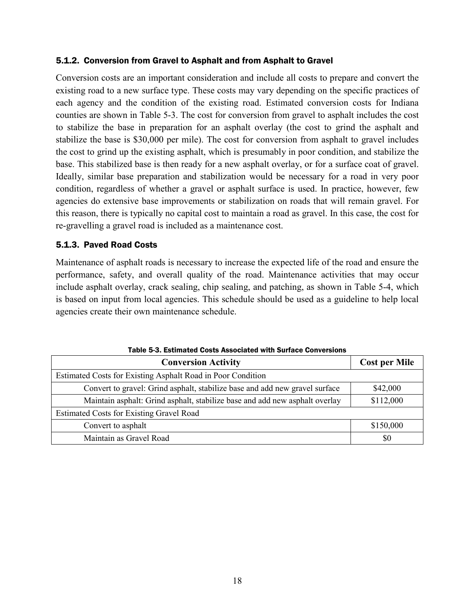# <span id="page-24-0"></span>5.1.2. Conversion from Gravel to Asphalt and from Asphalt to Gravel

Conversion costs are an important consideration and include all costs to prepare and convert the existing road to a new surface type. These costs may vary depending on the specific practices of each agency and the condition of the existing road. Estimated conversion costs for Indiana counties are shown in [Table 5-3.](#page-24-2) The cost for conversion from gravel to asphalt includes the cost to stabilize the base in preparation for an asphalt overlay (the cost to grind the asphalt and stabilize the base is \$30,000 per mile). The cost for conversion from asphalt to gravel includes the cost to grind up the existing asphalt, which is presumably in poor condition, and stabilize the base. This stabilized base is then ready for a new asphalt overlay, or for a surface coat of gravel. Ideally, similar base preparation and stabilization would be necessary for a road in very poor condition, regardless of whether a gravel or asphalt surface is used. In practice, however, few agencies do extensive base improvements or stabilization on roads that will remain gravel. For this reason, there is typically no capital cost to maintain a road as gravel. In this case, the cost for re-gravelling a gravel road is included as a maintenance cost.

# <span id="page-24-1"></span>5.1.3. Paved Road Costs

Maintenance of asphalt roads is necessary to increase the expected life of the road and ensure the performance, safety, and overall quality of the road. Maintenance activities that may occur include asphalt overlay, crack sealing, chip sealing, and patching, as shown in [Table 5-4,](#page-25-0) which is based on input from local agencies. This schedule should be used as a guideline to help local agencies create their own maintenance schedule.

<span id="page-24-2"></span>

| Table 5-5. ESUMated Costs Associated With Surface Conversions               |                      |
|-----------------------------------------------------------------------------|----------------------|
| <b>Conversion Activity</b>                                                  | <b>Cost per Mile</b> |
| Estimated Costs for Existing Asphalt Road in Poor Condition                 |                      |
| Convert to gravel: Grind asphalt, stabilize base and add new gravel surface | \$42,000             |
| Maintain asphalt: Grind asphalt, stabilize base and add new asphalt overlay | \$112,000            |
| <b>Estimated Costs for Existing Gravel Road</b>                             |                      |
| Convert to asphalt                                                          | \$150,000            |
| Maintain as Gravel Road                                                     | \$0                  |

Table 5-3. Estimated Costs Associated with Surface Conversions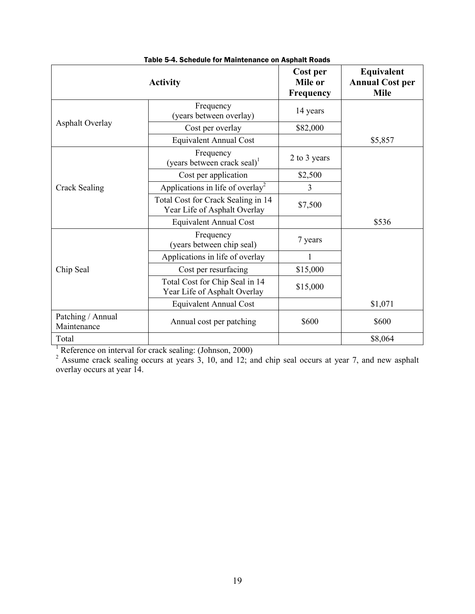<span id="page-25-0"></span>

|                                  | <b>Activity</b>                                                    | Cost per<br>Mile or<br>Frequency | Equivalent<br><b>Annual Cost per</b><br><b>Mile</b> |
|----------------------------------|--------------------------------------------------------------------|----------------------------------|-----------------------------------------------------|
|                                  | Frequency<br>(years between overlay)                               | 14 years                         |                                                     |
| <b>Asphalt Overlay</b>           | Cost per overlay                                                   | \$82,000                         |                                                     |
|                                  | <b>Equivalent Annual Cost</b>                                      |                                  | \$5,857                                             |
|                                  | Frequency<br>(years between crack seal) <sup>1</sup>               | 2 to 3 years                     |                                                     |
|                                  | Cost per application                                               | \$2,500                          |                                                     |
| Crack Sealing                    | Applications in life of overlay <sup>2</sup>                       | $\overline{3}$                   |                                                     |
|                                  | Total Cost for Crack Sealing in 14<br>Year Life of Asphalt Overlay | \$7,500                          |                                                     |
|                                  | <b>Equivalent Annual Cost</b>                                      |                                  | \$536                                               |
|                                  | Frequency<br>(years between chip seal)                             | 7 years                          |                                                     |
|                                  | Applications in life of overlay                                    |                                  |                                                     |
| Chip Seal                        | Cost per resurfacing                                               | \$15,000                         |                                                     |
|                                  | Total Cost for Chip Seal in 14<br>Year Life of Asphalt Overlay     | \$15,000                         |                                                     |
|                                  | <b>Equivalent Annual Cost</b>                                      |                                  | \$1,071                                             |
| Patching / Annual<br>Maintenance | Annual cost per patching                                           | \$600                            | \$600                                               |
| Total                            |                                                                    |                                  | \$8,064                                             |

|  |  |  |  |  | Table 5-4. Schedule for Maintenance on Asphalt Roads |  |  |  |
|--|--|--|--|--|------------------------------------------------------|--|--|--|
|--|--|--|--|--|------------------------------------------------------|--|--|--|

<sup>1</sup> Reference on interval for crack sealing: (Johnson, 2000)

 $2^{2}$  Assume crack sealing occurs at years 3, 10, and 12; and chip seal occurs at year 7, and new asphalt overlay occurs at year 14.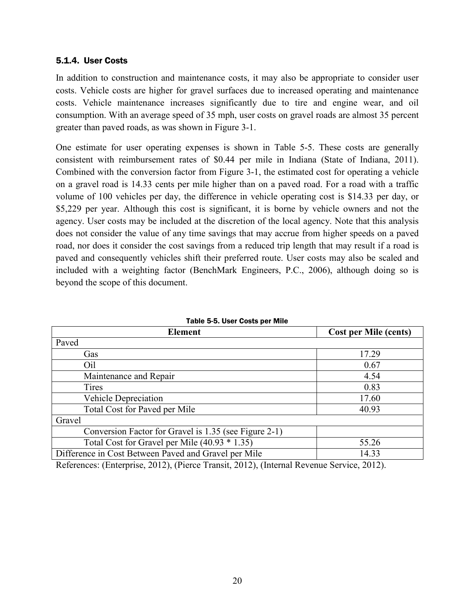### <span id="page-26-0"></span>5.1.4. User Costs

In addition to construction and maintenance costs, it may also be appropriate to consider user costs. Vehicle costs are higher for gravel surfaces due to increased operating and maintenance costs. Vehicle maintenance increases significantly due to tire and engine wear, and oil consumption. With an average speed of 35 mph, user costs on gravel roads are almost 35 percent greater than paved roads, as was shown in [Figure 3-1.](#page-11-0)

One estimate for user operating expenses is shown in [Table 5-5.](#page-26-1) These costs are generally consistent with reimbursement rates of \$0.44 per mile in Indiana (State of Indiana, 2011). Combined with the conversion factor from [Figure 3-1,](#page-11-0) the estimated cost for operating a vehicle on a gravel road is 14.33 cents per mile higher than on a paved road. For a road with a traffic volume of 100 vehicles per day, the difference in vehicle operating cost is \$14.33 per day, or \$5,229 per year. Although this cost is significant, it is borne by vehicle owners and not the agency. User costs may be included at the discretion of the local agency. Note that this analysis does not consider the value of any time savings that may accrue from higher speeds on a paved road, nor does it consider the cost savings from a reduced trip length that may result if a road is paved and consequently vehicles shift their preferred route. User costs may also be scaled and included with a weighting factor (BenchMark Engineers, P.C., 2006), although doing so is beyond the scope of this document.

<span id="page-26-1"></span>

| <b>Element</b>                                        | <b>Cost per Mile (cents)</b> |
|-------------------------------------------------------|------------------------------|
| Paved                                                 |                              |
| Gas                                                   | 17.29                        |
| Oil                                                   | 0.67                         |
| Maintenance and Repair                                | 4.54                         |
| Tires                                                 | 0.83                         |
| Vehicle Depreciation                                  | 17.60                        |
| Total Cost for Paved per Mile                         | 40.93                        |
| Gravel                                                |                              |
| Conversion Factor for Gravel is 1.35 (see Figure 2-1) |                              |
| Total Cost for Gravel per Mile $(40.93 * 1.35)$       | 55.26                        |
| Difference in Cost Between Paved and Gravel per Mile  | 14.33                        |

| Table 5-5. User Costs per Mile |  |  |  |  |
|--------------------------------|--|--|--|--|
|--------------------------------|--|--|--|--|

References: (Enterprise, 2012), (Pierce Transit, 2012), (Internal Revenue Service, 2012).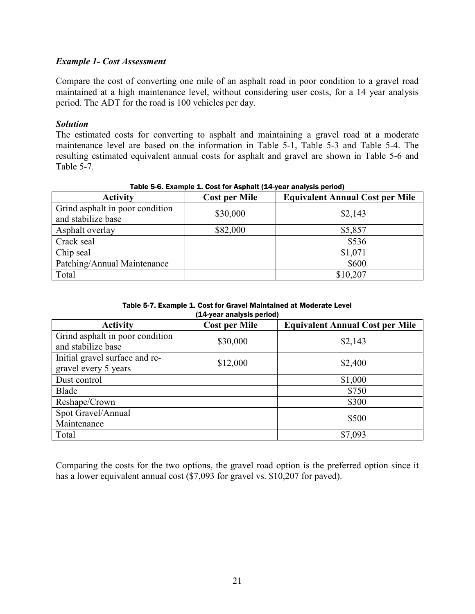# *Example 1- Cost Assessment*

Compare the cost of converting one mile of an asphalt road in poor condition to a gravel road maintained at a high maintenance level, without considering user costs, for a 14 year analysis period. The ADT for the road is 100 vehicles per day.

### *Solution*

The estimated costs for converting to asphalt and maintaining a gravel road at a moderate maintenance level are based on the information in [Table 5-1,](#page-23-0) [Table 5-3](#page-24-2) and [Table 5-4.](#page-25-0) The resulting estimated equivalent annual costs for asphalt and gravel are shown in [Table 5-6](#page-27-0) and [Table 5-7.](#page-27-1)

<span id="page-27-0"></span>

| Table of the Laurington Latitude of the respirate $\frac{1}{2}$ from analysis political |                      |                                        |  |  |
|-----------------------------------------------------------------------------------------|----------------------|----------------------------------------|--|--|
| <b>Activity</b>                                                                         | <b>Cost per Mile</b> | <b>Equivalent Annual Cost per Mile</b> |  |  |
| Grind asphalt in poor condition<br>and stabilize base                                   | \$30,000             | \$2,143                                |  |  |
| Asphalt overlay                                                                         | \$82,000             | \$5,857                                |  |  |
| Crack seal                                                                              |                      | \$536                                  |  |  |
| Chip seal                                                                               |                      | \$1,071                                |  |  |
| Patching/Annual Maintenance                                                             |                      | \$600                                  |  |  |
| Total                                                                                   |                      | \$10,207                               |  |  |

### Table 5-6. Example 1. Cost for Asphalt (14-year analysis period)

Table 5-7. Example 1. Cost for Gravel Maintained at Moderate Level (14-year analysis period)

<span id="page-27-1"></span>

|                                                        | $\geq$ , your undryong portour |                                        |
|--------------------------------------------------------|--------------------------------|----------------------------------------|
| <b>Activity</b>                                        | <b>Cost per Mile</b>           | <b>Equivalent Annual Cost per Mile</b> |
| Grind asphalt in poor condition<br>and stabilize base  | \$30,000                       | \$2,143                                |
| Initial gravel surface and re-<br>gravel every 5 years | \$12,000                       | \$2,400                                |
| Dust control                                           |                                | \$1,000                                |
| Blade                                                  |                                | \$750                                  |
| Reshape/Crown                                          |                                | \$300                                  |
| Spot Gravel/Annual<br>Maintenance                      |                                | \$500                                  |
| Total                                                  |                                | \$7,093                                |

Comparing the costs for the two options, the gravel road option is the preferred option since it has a lower equivalent annual cost (\$7,093 for gravel vs. \$10,207 for paved).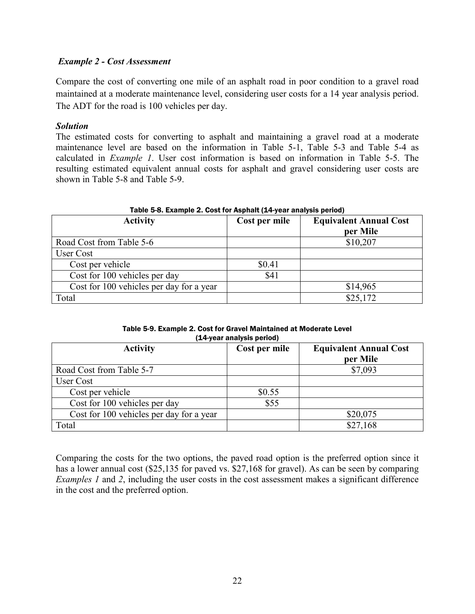# *Example 2 - Cost Assessment*

Compare the cost of converting one mile of an asphalt road in poor condition to a gravel road maintained at a moderate maintenance level, considering user costs for a 14 year analysis period. The ADT for the road is 100 vehicles per day.

# *Solution*

The estimated costs for converting to asphalt and maintaining a gravel road at a moderate maintenance level are based on the information in [Table 5-1,](#page-23-0) [Table 5-3](#page-24-2) and [Table 5-4](#page-25-0) as calculated in *Example 1*. User cost information is based on information in [Table 5-5.](#page-26-1) The resulting estimated equivalent annual costs for asphalt and gravel considering user costs are shown in [Table 5-8](#page-28-0) and [Table 5-9.](#page-28-1)

<span id="page-28-0"></span>

| Table 5-8. Example 2. Cost for Asphalt (14-year analysis period) |               |                                           |  |  |
|------------------------------------------------------------------|---------------|-------------------------------------------|--|--|
| <b>Activity</b>                                                  | Cost per mile | <b>Equivalent Annual Cost</b><br>per Mile |  |  |
| Road Cost from Table 5-6                                         |               | \$10,207                                  |  |  |
| User Cost                                                        |               |                                           |  |  |
| Cost per vehicle                                                 | \$0.41        |                                           |  |  |
| Cost for 100 vehicles per day                                    | \$41          |                                           |  |  |
| Cost for 100 vehicles per day for a year                         |               | \$14,965                                  |  |  |
| Total                                                            |               | \$25,172                                  |  |  |

#### Table 5-9. Example 2. Cost for Gravel Maintained at Moderate Level (14-year analysis period)

<span id="page-28-1"></span>

| <b>Activity</b>                          | Cost per mile | <b>Equivalent Annual Cost</b> |
|------------------------------------------|---------------|-------------------------------|
|                                          |               | per Mile                      |
| Road Cost from Table 5-7                 |               | \$7,093                       |
| User Cost                                |               |                               |
| Cost per vehicle                         | \$0.55        |                               |
| Cost for 100 vehicles per day            | \$55          |                               |
| Cost for 100 vehicles per day for a year |               | \$20,075                      |
| Total                                    |               | \$27,168                      |

Comparing the costs for the two options, the paved road option is the preferred option since it has a lower annual cost (\$25,135 for paved vs. \$27,168 for gravel). As can be seen by comparing *Examples 1* and 2, including the user costs in the cost assessment makes a significant difference in the cost and the preferred option.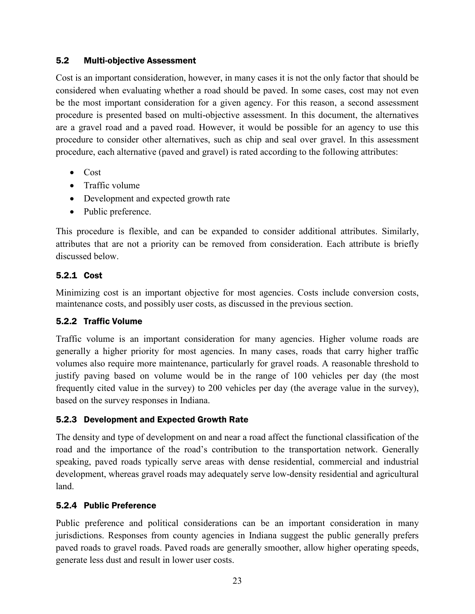# <span id="page-29-0"></span>5.2 Multi-objective Assessment

Cost is an important consideration, however, in many cases it is not the only factor that should be considered when evaluating whether a road should be paved. In some cases, cost may not even be the most important consideration for a given agency. For this reason, a second assessment procedure is presented based on multi-objective assessment. In this document, the alternatives are a gravel road and a paved road. However, it would be possible for an agency to use this procedure to consider other alternatives, such as chip and seal over gravel. In this assessment procedure, each alternative (paved and gravel) is rated according to the following attributes:

- $\bullet$  Cost
- $\bullet$  Traffic volume
- Development and expected growth rate
- Public preference.

This procedure is flexible, and can be expanded to consider additional attributes. Similarly, attributes that are not a priority can be removed from consideration. Each attribute is briefly discussed below.

# <span id="page-29-1"></span>5.2.1 Cost

Minimizing cost is an important objective for most agencies. Costs include conversion costs, maintenance costs, and possibly user costs, as discussed in the previous section.

# <span id="page-29-2"></span>5.2.2 Traffic Volume

Traffic volume is an important consideration for many agencies. Higher volume roads are generally a higher priority for most agencies. In many cases, roads that carry higher traffic volumes also require more maintenance, particularly for gravel roads. A reasonable threshold to justify paving based on volume would be in the range of 100 vehicles per day (the most frequently cited value in the survey) to 200 vehicles per day (the average value in the survey), based on the survey responses in Indiana.

# <span id="page-29-3"></span>5.2.3 Development and Expected Growth Rate

The density and type of development on and near a road affect the functional classification of the road and the importance of the road's contribution to the transportation network. Generally speaking, paved roads typically serve areas with dense residential, commercial and industrial development, whereas gravel roads may adequately serve low-density residential and agricultural land.

# <span id="page-29-4"></span>5.2.4 Public Preference

Public preference and political considerations can be an important consideration in many jurisdictions. Responses from county agencies in Indiana suggest the public generally prefers paved roads to gravel roads. Paved roads are generally smoother, allow higher operating speeds, generate less dust and result in lower user costs.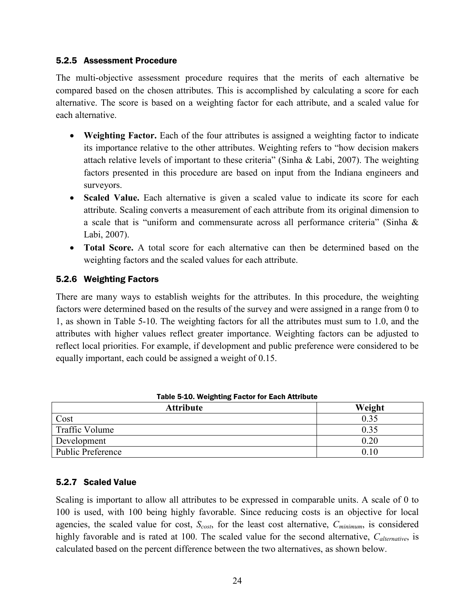# <span id="page-30-0"></span>5.2.5 Assessment Procedure

The multi-objective assessment procedure requires that the merits of each alternative be compared based on the chosen attributes. This is accomplished by calculating a score for each alternative. The score is based on a weighting factor for each attribute, and a scaled value for each alternative.

- Weighting Factor. Each of the four attributes is assigned a weighting factor to indicate its importance relative to the other attributes. Weighting refers to "how decision makers attach relative levels of important to these criteria" (Sinha & Labi, 2007). The weighting factors presented in this procedure are based on input from the Indiana engineers and surveyors.
- Scaled Value. Each alternative is given a scaled value to indicate its score for each attribute. Scaling converts a measurement of each attribute from its original dimension to a scale that is "uniform and commensurate across all performance criteria" (Sinha & Labi, 2007).
- **Total Score.** A total score for each alternative can then be determined based on the weighting factors and the scaled values for each attribute.

# <span id="page-30-1"></span>5.2.6 Weighting Factors

There are many ways to establish weights for the attributes. In this procedure, the weighting factors were determined based on the results of the survey and were assigned in a range from 0 to 1, as shown in [Table 5-10.](#page-30-3) The weighting factors for all the attributes must sum to 1.0, and the attributes with higher values reflect greater importance. Weighting factors can be adjusted to reflect local priorities. For example, if development and public preference were considered to be equally important, each could be assigned a weight of 0.15.

<span id="page-30-3"></span>

| <b>Table 5-10. Weighting Factor for Each Attribute</b> |        |  |  |  |
|--------------------------------------------------------|--------|--|--|--|
| <b>Attribute</b>                                       | Weight |  |  |  |
| Cost                                                   | 0.35   |  |  |  |
| Traffic Volume                                         | 0.35   |  |  |  |
| Development                                            | 0.20   |  |  |  |
| Public Preference                                      | 010    |  |  |  |

# <span id="page-30-2"></span>5.2.7 Scaled Value

Scaling is important to allow all attributes to be expressed in comparable units. A scale of 0 to 100 is used, with 100 being highly favorable. Since reducing costs is an objective for local agencies, the scaled value for cost, *Scost*, for the least cost alternative, *Cminimum*, is considered highly favorable and is rated at 100. The scaled value for the second alternative, *Calternative*, is calculated based on the percent difference between the two alternatives, as shown below.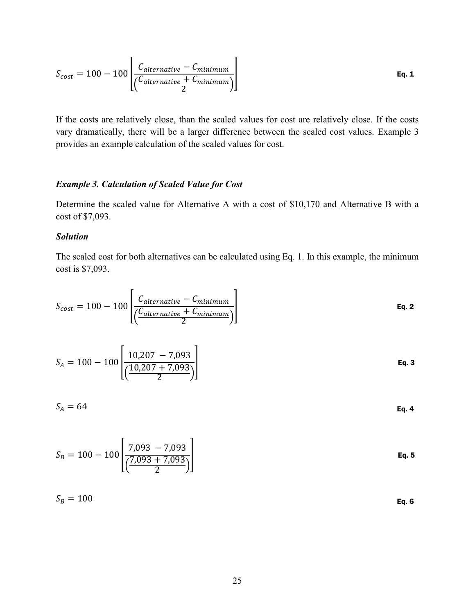$$
S_{cost} = 100 - 100 \left[ \frac{C_{alternative} - C_{minimum}}{\left(\frac{C_{alternative} + C_{minimum}}{2}\right)} \right]
$$
 Eq. 1

If the costs are relatively close, than the scaled values for cost are relatively close. If the costs vary dramatically, there will be a larger difference between the scaled cost values. Example 3 provides an example calculation of the scaled values for cost.

### *Example 3. Calculation of Scaled Value for Cost*

Determine the scaled value for Alternative A with a cost of \$10,170 and Alternative B with a cost of \$7,093.

#### *Solution*

The scaled cost for both alternatives can be calculated using Eq. 1. In this example, the minimum cost is \$7,093.

$$
S_{cost} = 100 - 100 \left[ \frac{C_{alternative} - C_{minimum}}{\left(\frac{C_{alternative} + C_{minimum}}{2}\right)} \right]
$$
 Eq. 2

$$
S_A = 100 - 100 \left[ \frac{10,207 - 7,093}{\left( \frac{10,207 + 7,093}{2} \right)} \right]
$$
 Eq. 3

$$
S_A = 64
$$
 Eq. 4

$$
S_B = 100 - 100 \left[ \frac{7,093 - 7,093}{\left( \frac{7,093 + 7,093}{2} \right)} \right]
$$
 Eq. 5

$$
S_B = 100
$$
 Eq. 6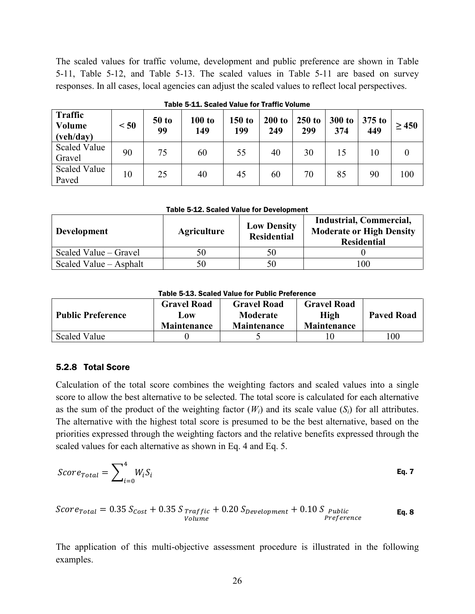The scaled values for traffic volume, development and public preference are shown in [Table](#page-32-1)  [5-11,](#page-32-1) [Table 5-12,](#page-32-2) and [Table 5-13.](#page-32-3) The scaled values in [Table 5-11](#page-32-1) are based on survey responses. In all cases, local agencies can adjust the scaled values to reflect local perspectives.

<span id="page-32-1"></span>

| <b>Traffic</b><br><b>Volume</b><br>(veh/day) | < 50 | $50$ to<br>99 | 100 to<br>149 | 150 to<br>199 | 200 to<br>249 | $250$ to<br>299 | 300 to<br>374 | $375$ to<br>449 | $\geq 450$ |
|----------------------------------------------|------|---------------|---------------|---------------|---------------|-----------------|---------------|-----------------|------------|
| <b>Scaled Value</b><br>Gravel                | 90   | 75            | 60            | 55            | 40            | 30              | 15            | 10              |            |
| <b>Scaled Value</b><br>Paved                 | 10   | 25            | 40            | 45            | 60            | 70              | 85            | 90              | 100        |

Table 5-11. Scaled Value for Traffic Volume

Table 5-12. Scaled Value for Development

<span id="page-32-2"></span>

| <b>Development</b>     | <b>Agriculture</b> | <b>Low Density</b><br><b>Residential</b> | Industrial, Commercial,<br><b>Moderate or High Density</b><br><b>Residential</b> |
|------------------------|--------------------|------------------------------------------|----------------------------------------------------------------------------------|
| Scaled Value – Gravel  | 50                 | 50                                       |                                                                                  |
| Scaled Value – Asphalt | 50                 | 50                                       | 100                                                                              |

Table 5-13. Scaled Value for Public Preference

<span id="page-32-3"></span>

| <b>Public Preference</b> | <b>Gravel Road</b><br>Low<br><b>Maintenance</b> | <b>Gravel Road</b><br>Moderate<br><b>Maintenance</b> | <b>Gravel Road</b><br>High<br><b>Maintenance</b> | <b>Paved Road</b> |
|--------------------------|-------------------------------------------------|------------------------------------------------------|--------------------------------------------------|-------------------|
| <b>Scaled Value</b>      |                                                 |                                                      |                                                  | 100               |

### <span id="page-32-0"></span>5.2.8 Total Score

Calculation of the total score combines the weighting factors and scaled values into a single score to allow the best alternative to be selected. The total score is calculated for each alternative as the sum of the product of the weighting factor  $(W_i)$  and its scale value  $(S_i)$  for all attributes. The alternative with the highest total score is presumed to be the best alternative, based on the priorities expressed through the weighting factors and the relative benefits expressed through the scaled values for each alternative as shown in Eq. 4 and Eq. 5.

$$
Score_{Total} = \sum_{i=0}^{4} W_i S_i
$$
 Eq. 7

$$
Score_{Total} = 0.35 S_{Cost} + 0.35 S_{Traffic} + 0.20 S_{Development} + 0.10 S_{public}_{Preference}
$$
  
\n
$$
Volume
$$

The application of this multi-objective assessment procedure is illustrated in the following examples.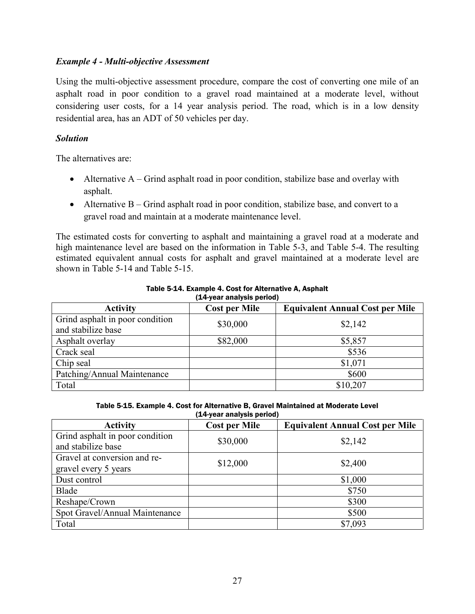# *Example 4 - Multi-objective Assessment*

Using the multi-objective assessment procedure, compare the cost of converting one mile of an asphalt road in poor condition to a gravel road maintained at a moderate level, without considering user costs, for a 14 year analysis period. The road, which is in a low density residential area, has an ADT of 50 vehicles per day.

# *Solution*

The alternatives are:

- $\bullet$  Alternative A Grind asphalt road in poor condition, stabilize base and overlay with asphalt.
- $\bullet$  Alternative B Grind asphalt road in poor condition, stabilize base, and convert to a gravel road and maintain at a moderate maintenance level.

The estimated costs for converting to asphalt and maintaining a gravel road at a moderate and high maintenance level are based on the information in [Table 5-3,](#page-24-2) and [Table 5-4.](#page-25-0) The resulting estimated equivalent annual costs for asphalt and gravel maintained at a moderate level are shown in [Table 5-14](#page-33-0) and [Table 5-15.](#page-33-1)

<span id="page-33-0"></span>

| $\geq$ , your unuryong points,                        |                      |                                        |  |  |  |  |
|-------------------------------------------------------|----------------------|----------------------------------------|--|--|--|--|
| <b>Activity</b>                                       | <b>Cost per Mile</b> | <b>Equivalent Annual Cost per Mile</b> |  |  |  |  |
| Grind asphalt in poor condition<br>and stabilize base | \$30,000             | \$2,142                                |  |  |  |  |
| Asphalt overlay                                       | \$82,000             | \$5,857                                |  |  |  |  |
| Crack seal                                            |                      | \$536                                  |  |  |  |  |
| Chip seal                                             |                      | \$1,071                                |  |  |  |  |
| Patching/Annual Maintenance                           |                      | \$600                                  |  |  |  |  |
| Total                                                 |                      | \$10,207                               |  |  |  |  |

#### Table 5-14. Example 4. Cost for Alternative A, Asphalt (14-year analysis period)

Table 5-15. Example 4. Cost for Alternative B, Gravel Maintained at Moderate Level (14-year analysis period)

<span id="page-33-1"></span>

| <b>Activity</b>                                       | <b>Cost per Mile</b> | <b>Equivalent Annual Cost per Mile</b> |
|-------------------------------------------------------|----------------------|----------------------------------------|
| Grind asphalt in poor condition<br>and stabilize base | \$30,000             | \$2,142                                |
| Gravel at conversion and re-<br>gravel every 5 years  | \$12,000             | \$2,400                                |
| Dust control                                          |                      | \$1,000                                |
| Blade                                                 |                      | \$750                                  |
| Reshape/Crown                                         |                      | \$300                                  |
| Spot Gravel/Annual Maintenance                        |                      | \$500                                  |
| Total                                                 |                      | \$7,093                                |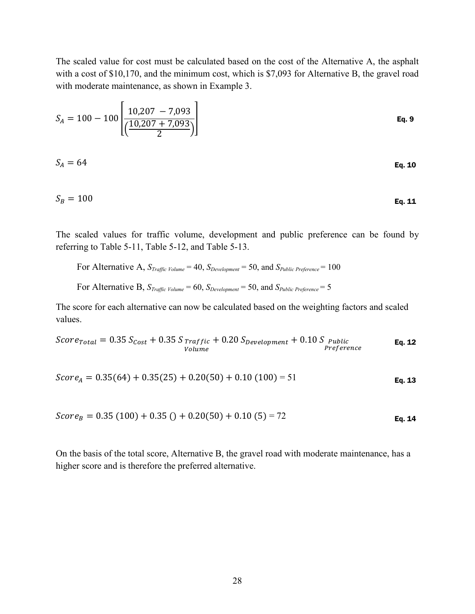The scaled value for cost must be calculated based on the cost of the Alternative A, the asphalt with a cost of \$10,170, and the minimum cost, which is \$7,093 for Alternative B, the gravel road with moderate maintenance, as shown in Example 3.

$$
S_A = 100 - 100 \left[ \frac{10,207 - 7,093}{\left( \frac{10,207 + 7,093}{2} \right)} \right]
$$
 Eq. 9

$$
S_A = 64
$$
 Eq. 10

$$
S_B = 100
$$
 Eq. 11

The scaled values for traffic volume, development and public preference can be found by referring to [Table 5-11,](#page-32-1) [Table 5-12,](#page-32-2) and [Table 5-13.](#page-32-3)

For Alternative A, *STraffic Volume* = 40, *SDevelopment* = 50, and *SPublic Preference* = 100

For Alternative B, *STraffic Volume* = 60, *SDevelopment* = 50, and *SPublic Preference* = 5

The score for each alternative can now be calculated based on the weighting factors and scaled values.

$$
Score_{Total} = 0.35 S_{Cost} + 0.35 S_{Traffic} + 0.20 S_{Development} + 0.10 S_{PublicVolume}
$$
Eq. 12

$$
Score_A = 0.35(64) + 0.35(25) + 0.20(50) + 0.10(100) = 51
$$
 Eq. 13

$$
Score_B = 0.35(100) + 0.35() + 0.20(50) + 0.10(5) = 72
$$
 Eq. 14

On the basis of the total score, Alternative B, the gravel road with moderate maintenance, has a higher score and is therefore the preferred alternative.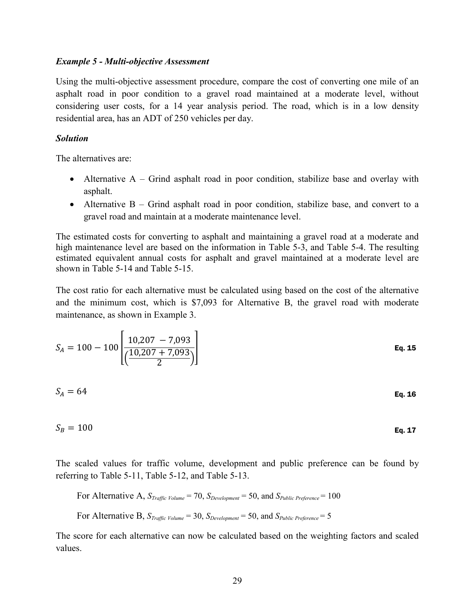#### *Example 5 - Multi-objective Assessment*

Using the multi-objective assessment procedure, compare the cost of converting one mile of an asphalt road in poor condition to a gravel road maintained at a moderate level, without considering user costs, for a 14 year analysis period. The road, which is in a low density residential area, has an ADT of 250 vehicles per day.

### *Solution*

The alternatives are:

- Alternative  $A -$  Grind asphalt road in poor condition, stabilize base and overlay with asphalt.
- Alternative  $B -$  Grind asphalt road in poor condition, stabilize base, and convert to a gravel road and maintain at a moderate maintenance level.

The estimated costs for converting to asphalt and maintaining a gravel road at a moderate and high maintenance level are based on the information in [Table 5-3,](#page-24-2) and [Table 5-4.](#page-25-0) The resulting estimated equivalent annual costs for asphalt and gravel maintained at a moderate level are shown in [Table 5-14](#page-33-0) and [Table 5-15.](#page-33-1)

The cost ratio for each alternative must be calculated using based on the cost of the alternative and the minimum cost, which is \$7,093 for Alternative B, the gravel road with moderate maintenance, as shown in Example 3.

$$
S_A = 100 - 100 \left[ \frac{10,207 - 7,093}{\left( \frac{10,207 + 7,093}{2} \right)} \right]
$$
 Eq. 15

$$
S_A = 64
$$
 Eq. 16

$$
S_B = 100
$$
 Eq. 17

The scaled values for traffic volume, development and public preference can be found by referring to [Table 5-11,](#page-32-1) [Table 5-12,](#page-32-2) and [Table 5-13.](#page-32-3)

For Alternative A, 
$$
S_{Traffic\ Volume} = 70
$$
,  $S_{Development} = 50$ , and  $S_{Public\ Prefference} = 100$ 

For Alternative B, 
$$
S_{Traffic Volume} = 30
$$
,  $S_{Development} = 50$ , and  $S_{Public Prefference} = 5$ 

The score for each alternative can now be calculated based on the weighting factors and scaled values.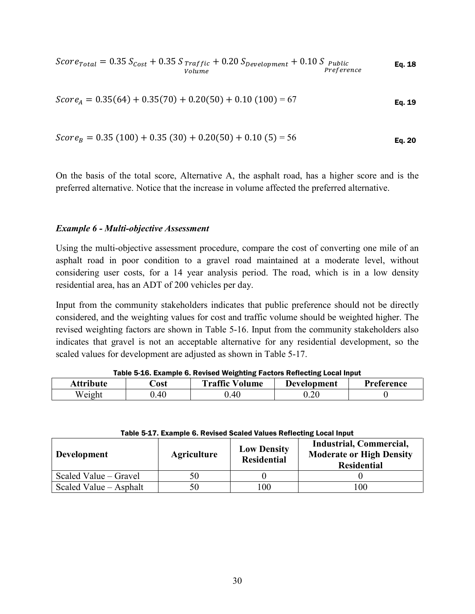$\textit{Score}_{\textit{Total}} = 0.35~\textit{S}_{\textit{Cost}} + 0.35~\textit{S}_{\textit{Traffic}}$ Volume  $+$  0.20  $S_{Development}$  + 0.10  $S_{public}$  **Eq. 18**<br>*Preference* 

$$
Score_A = 0.35(64) + 0.35(70) + 0.20(50) + 0.10(100) = 67
$$
 Eq. 19

$$
Score_B = 0.35(100) + 0.35(30) + 0.20(50) + 0.10(5) = 56
$$
 Eq. 20

On the basis of the total score, Alternative A, the asphalt road, has a higher score and is the preferred alternative. Notice that the increase in volume affected the preferred alternative.

#### *Example 6 - Multi-objective Assessment*

Using the multi-objective assessment procedure, compare the cost of converting one mile of an asphalt road in poor condition to a gravel road maintained at a moderate level, without considering user costs, for a 14 year analysis period. The road, which is in a low density residential area, has an ADT of 200 vehicles per day.

Input from the community stakeholders indicates that public preference should not be directly considered, and the weighting values for cost and traffic volume should be weighted higher. The revised weighting factors are shown in [Table 5-16.](#page-36-0) Input from the community stakeholders also indicates that gravel is not an acceptable alternative for any residential development, so the scaled values for development are adjusted as shown in [Table 5-17.](#page-36-1)

<span id="page-36-0"></span>

| <b>Attribute</b> | ∑ost | <b>Traffic Volume</b> | Development | Preference |  |  |
|------------------|------|-----------------------|-------------|------------|--|--|
| Weight           | .40  | .40                   | ).20        |            |  |  |

Table 5-16. Example 6. Revised Weighting Factors Reflecting Local Input

<span id="page-36-1"></span>

| <b>Development</b>     | <b>Agriculture</b> | <b>Low Density</b><br><b>Residential</b> | Industrial, Commercial,<br><b>Moderate or High Density</b><br><b>Residential</b> |
|------------------------|--------------------|------------------------------------------|----------------------------------------------------------------------------------|
| Scaled Value – Gravel  | 50                 |                                          |                                                                                  |
| Scaled Value – Asphalt | 50                 | 100                                      | 100                                                                              |

| Table 5-17. Example 6. Revised Scaled Values Reflecting Local Input |  |  |  |  |
|---------------------------------------------------------------------|--|--|--|--|
|---------------------------------------------------------------------|--|--|--|--|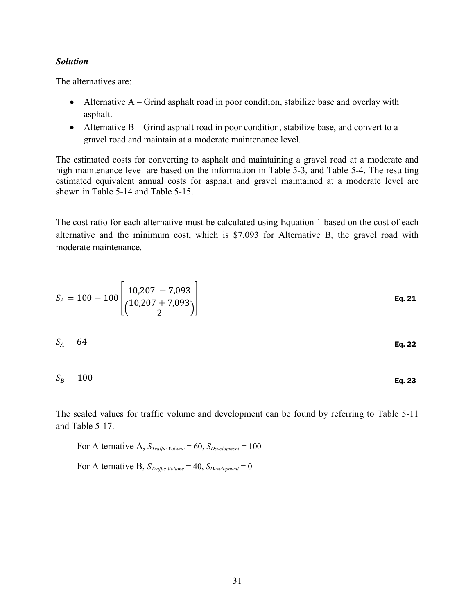#### *Solution*

The alternatives are:

- $\bullet$  Alternative A Grind asphalt road in poor condition, stabilize base and overlay with asphalt.
- $\bullet$  Alternative B Grind asphalt road in poor condition, stabilize base, and convert to a gravel road and maintain at a moderate maintenance level.

The estimated costs for converting to asphalt and maintaining a gravel road at a moderate and high maintenance level are based on the information in [Table 5-3,](#page-24-2) and [Table 5-4.](#page-25-0) The resulting estimated equivalent annual costs for asphalt and gravel maintained at a moderate level are shown in [Table 5-14](#page-33-0) and [Table 5-15.](#page-33-1)

The cost ratio for each alternative must be calculated using Equation 1 based on the cost of each alternative and the minimum cost, which is \$7,093 for Alternative B, the gravel road with moderate maintenance.

$$
S_A = 100 - 100 \left[ \frac{10,207 - 7,093}{\left( \frac{10,207 + 7,093}{2} \right)} \right]
$$
  
\n
$$
S_A = 64
$$
  
\n
$$
S_B = 100
$$
  
\nEq. 22  
\nEq. 23

The scaled values for traffic volume and development can be found by referring to [Table 5-11](#page-32-1) and [Table 5-17.](#page-36-1)

For Alternative A,  $S_{Traffic Volume} = 60$ ,  $S_{Development} = 100$ For Alternative B,  $S_{Traffic Volume} = 40$ ,  $S_{Development} = 0$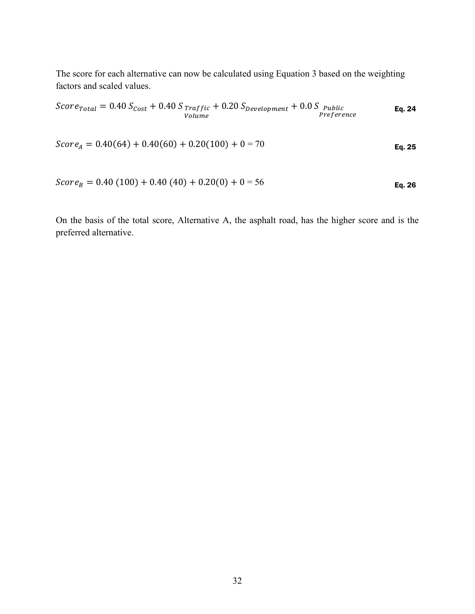The score for each alternative can now be calculated using Equation 3 based on the weighting factors and scaled values.

$$
Score_{Total} = 0.40 S_{Cost} + 0.40 S_{Traffic} + 0.20 S_{Development} + 0.0 S_{Public}_{Preference}
$$
  
Volume

$$
Score_A = 0.40(64) + 0.40(60) + 0.20(100) + 0 = 70
$$
 Eq. 25

$$
Score_B = 0.40 (100) + 0.40 (40) + 0.20(0) + 0 = 56
$$
 Eq. 26

On the basis of the total score, Alternative A, the asphalt road, has the higher score and is the preferred alternative.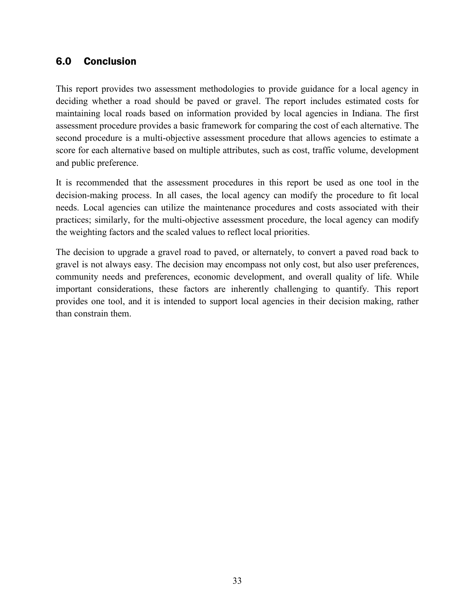# <span id="page-39-0"></span>6.0 Conclusion

This report provides two assessment methodologies to provide guidance for a local agency in deciding whether a road should be paved or gravel. The report includes estimated costs for maintaining local roads based on information provided by local agencies in Indiana. The first assessment procedure provides a basic framework for comparing the cost of each alternative. The second procedure is a multi-objective assessment procedure that allows agencies to estimate a score for each alternative based on multiple attributes, such as cost, traffic volume, development and public preference.

It is recommended that the assessment procedures in this report be used as one tool in the decision-making process. In all cases, the local agency can modify the procedure to fit local needs. Local agencies can utilize the maintenance procedures and costs associated with their practices; similarly, for the multi-objective assessment procedure, the local agency can modify the weighting factors and the scaled values to reflect local priorities.

The decision to upgrade a gravel road to paved, or alternately, to convert a paved road back to gravel is not always easy. The decision may encompass not only cost, but also user preferences, community needs and preferences, economic development, and overall quality of life. While important considerations, these factors are inherently challenging to quantify. This report provides one tool, and it is intended to support local agencies in their decision making, rather than constrain them.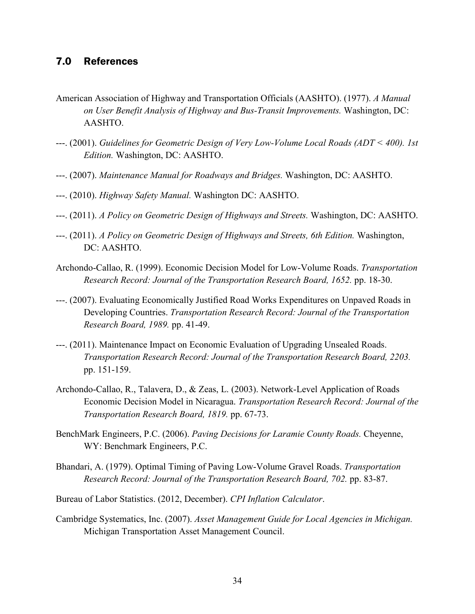# <span id="page-40-0"></span>7.0 References

- American Association of Highway and Transportation Officials (AASHTO). (1977). *A Manual on User Benefit Analysis of Highway and Bus-Transit Improvements.* Washington, DC: AASHTO.
- ---. (2001). *Guidelines for Geometric Design of Very Low-Volume Local Roads (ADT < 400). 1st Edition.* Washington, DC: AASHTO.
- ---. (2007). *Maintenance Manual for Roadways and Bridges.* Washington, DC: AASHTO.
- ---. (2010). *Highway Safety Manual.* Washington DC: AASHTO.
- ---. (2011). *A Policy on Geometric Design of Highways and Streets.* Washington, DC: AASHTO.
- ---. (2011). *A Policy on Geometric Design of Highways and Streets, 6th Edition.* Washington, DC: AASHTO.
- Archondo-Callao, R. (1999). Economic Decision Model for Low-Volume Roads. *Transportation Research Record: Journal of the Transportation Research Board, 1652.* pp. 18-30.
- ---. (2007). Evaluating Economically Justified Road Works Expenditures on Unpaved Roads in Developing Countries. *Transportation Research Record: Journal of the Transportation Research Board, 1989.* pp. 41-49.
- ---. (2011). Maintenance Impact on Economic Evaluation of Upgrading Unsealed Roads. *Transportation Research Record: Journal of the Transportation Research Board, 2203.* pp. 151-159.
- Archondo-Callao, R., Talavera, D., & Zeas, L. (2003). Network-Level Application of Roads Economic Decision Model in Nicaragua. *Transportation Research Record: Journal of the Transportation Research Board, 1819.* pp. 67-73.
- BenchMark Engineers, P.C. (2006). *Paving Decisions for Laramie County Roads.* Cheyenne, WY: Benchmark Engineers, P.C.
- Bhandari, A. (1979). Optimal Timing of Paving Low-Volume Gravel Roads. *Transportation Research Record: Journal of the Transportation Research Board, 702.* pp. 83-87.
- Bureau of Labor Statistics. (2012, December). *CPI Inflation Calculator*.
- Cambridge Systematics, Inc. (2007). *Asset Management Guide for Local Agencies in Michigan.* Michigan Transportation Asset Management Council.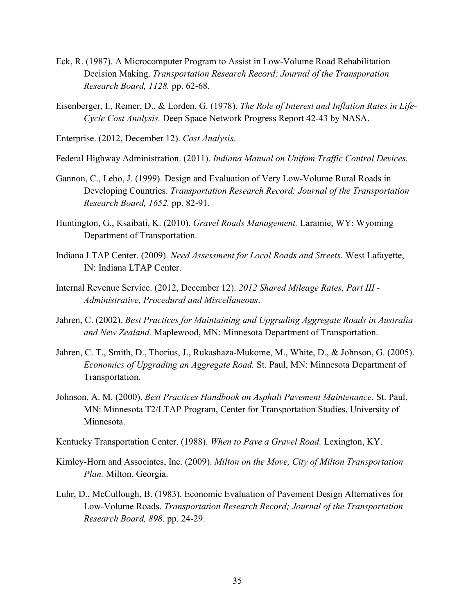- Eck, R. (1987). A Microcomputer Program to Assist in Low-Volume Road Rehabilitation Decision Making. *Transportation Research Record: Journal of the Transporation Research Board, 1128.* pp. 62-68.
- Eisenberger, I., Remer, D., & Lorden, G. (1978). *The Role of Interest and Inflation Rates in Life-Cycle Cost Analysis.* Deep Space Network Progress Report 42-43 by NASA.
- Enterprise. (2012, December 12). *Cost Analysis*.
- Federal Highway Administration. (2011). *Indiana Manual on Unifom Traffic Control Devices.*
- Gannon, C., Lebo, J. (1999). Design and Evaluation of Very Low-Volume Rural Roads in Developing Countries. *Transportation Research Record: Journal of the Transportation Research Board, 1652.* pp. 82-91.
- Huntington, G., Ksaibati, K. (2010). *Gravel Roads Management.* Laramie, WY: Wyoming Department of Transportation.
- Indiana LTAP Center. (2009). *Need Assessment for Local Roads and Streets.* West Lafayette, IN: Indiana LTAP Center.
- Internal Revenue Service. (2012, December 12). *2012 Shared Mileage Rates, Part III - Administrative, Procedural and Miscellaneous*.
- Jahren, C. (2002). *Best Practices for Maintaining and Upgrading Aggregate Roads in Australia and New Zealand.* Maplewood, MN: Minnesota Department of Transportation.
- Jahren, C. T., Smith, D., Thorius, J., Rukashaza-Mukome, M., White, D., & Johnson, G. (2005). *Economics of Upgrading an Aggregate Road.* St. Paul, MN: Minnesota Department of Transportation.
- Johnson, A. M. (2000). *Best Practices Handbook on Asphalt Pavement Maintenance.* St. Paul, MN: Minnesota T2/LTAP Program, Center for Transportation Studies, University of Minnesota.
- Kentucky Transportation Center. (1988). *When to Pave a Gravel Road.* Lexington, KY.
- Kimley-Horn and Associates, Inc. (2009). *Milton on the Move, City of Milton Transportation Plan.* Milton, Georgia.
- Luhr, D., McCullough, B. (1983). Economic Evaluation of Pavement Design Alternatives for Low-Volume Roads. *Transportation Research Record; Journal of the Transportation Research Board, 898*. pp. 24-29.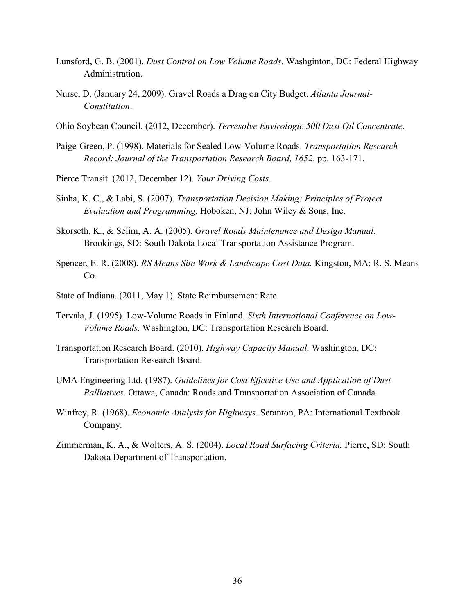- Lunsford, G. B. (2001). *Dust Control on Low Volume Roads.* Washginton, DC: Federal Highway Administration.
- Nurse, D. (January 24, 2009). Gravel Roads a Drag on City Budget. *Atlanta Journal-Constitution*.
- Ohio Soybean Council. (2012, December). *Terresolve Envirologic 500 Dust Oil Concentrate*.
- Paige-Green, P. (1998). Materials for Sealed Low-Volume Roads. *Transportation Research Record: Journal of the Transportation Research Board, 1652*. pp. 163-171.
- Pierce Transit. (2012, December 12). *Your Driving Costs*.
- Sinha, K. C., & Labi, S. (2007). *Transportation Decision Making: Principles of Project Evaluation and Programming.* Hoboken, NJ: John Wiley & Sons, Inc.
- Skorseth, K., & Selim, A. A. (2005). *Gravel Roads Maintenance and Design Manual.* Brookings, SD: South Dakota Local Transportation Assistance Program.
- Spencer, E. R. (2008). *RS Means Site Work & Landscape Cost Data.* Kingston, MA: R. S. Means Co.
- State of Indiana. (2011, May 1). State Reimbursement Rate.
- Tervala, J. (1995). Low-Volume Roads in Finland. *Sixth International Conference on Low-Volume Roads.* Washington, DC: Transportation Research Board.
- Transportation Research Board. (2010). *Highway Capacity Manual.* Washington, DC: Transportation Research Board.
- UMA Engineering Ltd. (1987). *Guidelines for Cost Effective Use and Application of Dust Palliatives.* Ottawa, Canada: Roads and Transportation Association of Canada.
- Winfrey, R. (1968). *Economic Analysis for Highways.* Scranton, PA: International Textbook Company.
- Zimmerman, K. A., & Wolters, A. S. (2004). *Local Road Surfacing Criteria.* Pierre, SD: South Dakota Department of Transportation.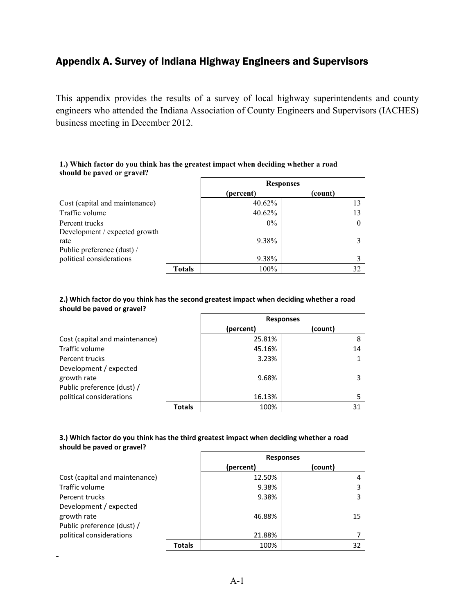# <span id="page-43-0"></span>Appendix A. Survey of Indiana Highway Engineers and Supervisors

This appendix provides the results of a survey of local highway superintendents and county engineers who attended the Indiana Association of County Engineers and Supervisors (IACHES) business meeting in December 2012.

#### **1.) Which factor do you think has the greatest impact when deciding whether a road should be paved or gravel?**

|                                                                     |               | <b>Responses</b> |         |  |
|---------------------------------------------------------------------|---------------|------------------|---------|--|
|                                                                     |               | (percent)        | (count) |  |
| Cost (capital and maintenance)                                      |               | 40.62%           |         |  |
| Traffic volume                                                      |               | 40.62%           |         |  |
| Percent trucks                                                      |               | $0\%$            |         |  |
| Development / expected growth<br>rate<br>Public preference (dust) / |               | 9.38%            |         |  |
| political considerations                                            |               | 9.38%            |         |  |
|                                                                     | <b>Totals</b> | $100\%$          | 32      |  |

#### **2.) Which factor do you think has the second greatest impact when deciding whether a road should be paved or gravel?**

|                                |        | <b>Responses</b> |         |  |
|--------------------------------|--------|------------------|---------|--|
|                                |        | (percent)        | (count) |  |
| Cost (capital and maintenance) |        | 25.81%           | 8       |  |
| Traffic volume                 |        | 45.16%           | 14      |  |
| Percent trucks                 |        | 3.23%            |         |  |
| Development / expected         |        |                  |         |  |
| growth rate                    |        | 9.68%            | 3       |  |
| Public preference (dust) /     |        |                  |         |  |
| political considerations       |        | 16.13%           |         |  |
|                                | Totals | 100%             | 31      |  |

#### **3.) Which factor do you think has the third greatest impact when deciding whether a road should be paved or gravel?**

|                                |               | <b>Responses</b> |         |  |
|--------------------------------|---------------|------------------|---------|--|
|                                |               | (percent)        | (count) |  |
| Cost (capital and maintenance) |               | 12.50%           |         |  |
| Traffic volume                 |               | 9.38%            |         |  |
| Percent trucks                 |               | 9.38%            |         |  |
| Development / expected         |               |                  |         |  |
| growth rate                    |               | 46.88%           | 15      |  |
| Public preference (dust) /     |               |                  |         |  |
| political considerations       |               | 21.88%           |         |  |
|                                | <b>Totals</b> | 100%             | 32      |  |

-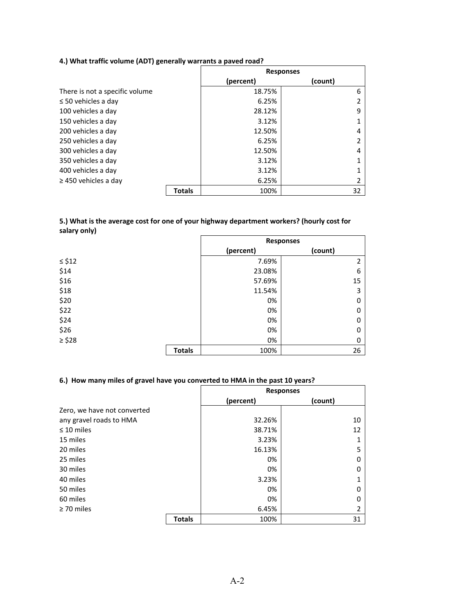# **4.) What traffic volume (ADT) generally warrants a paved road?**

|                                |        | <b>Responses</b> |         |
|--------------------------------|--------|------------------|---------|
|                                |        | (percent)        | (count) |
| There is not a specific volume |        | 18.75%           | 6       |
| $\leq$ 50 vehicles a day       |        | 6.25%            |         |
| 100 vehicles a day             |        | 28.12%           | 9       |
| 150 vehicles a day             |        | 3.12%            |         |
| 200 vehicles a day             |        | 12.50%           |         |
| 250 vehicles a day             |        | 6.25%            |         |
| 300 vehicles a day             |        | 12.50%           | 4       |
| 350 vehicles a day             |        | 3.12%            |         |
| 400 vehicles a day             |        | 3.12%            |         |
| $\geq$ 450 vehicles a day      |        | 6.25%            |         |
|                                | Totals | 100%             | 32      |

#### **5.) What is the average cost for one of your highway department workers? (hourly cost for salary only)**

|             |               | <b>Responses</b> |                |
|-------------|---------------|------------------|----------------|
|             |               | (percent)        | (count)        |
| $\leq$ \$12 |               | 7.69%            | $\overline{2}$ |
| \$14        |               | 23.08%           | 6              |
| \$16        |               | 57.69%           | 15             |
| \$18        |               | 11.54%           | 3              |
| \$20        |               | 0%               | $\Omega$       |
| \$22        |               | 0%               | 0              |
| \$24        |               | 0%               | $\Omega$       |
| \$26        |               | 0%               | 0              |
| $\geq$ \$28 |               | 0%               | 0              |
|             | <b>Totals</b> | 100%             | 26             |

#### **6.) How many miles of gravel have you converted to HMA in the past 10 years?**

|                             |               | <b>Responses</b> |         |
|-----------------------------|---------------|------------------|---------|
|                             |               | (percent)        | (count) |
| Zero, we have not converted |               |                  |         |
| any gravel roads to HMA     |               | 32.26%           | 10      |
| $\leq 10$ miles             |               | 38.71%           | 12      |
| 15 miles                    |               | 3.23%            |         |
| 20 miles                    |               | 16.13%           | 5       |
| 25 miles                    |               | 0%               |         |
| 30 miles                    |               | 0%               |         |
| 40 miles                    |               | 3.23%            |         |
| 50 miles                    |               | 0%               |         |
| 60 miles                    |               | 0%               |         |
| $\geq$ 70 miles             |               | 6.45%            |         |
|                             | <b>Totals</b> | 100%             | 31      |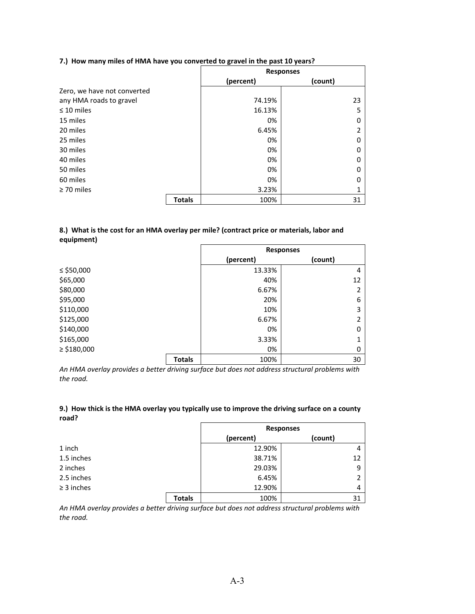|  |  |  |  | 7.) How many miles of HMA have you converted to gravel in the past 10 years? |
|--|--|--|--|------------------------------------------------------------------------------|
|--|--|--|--|------------------------------------------------------------------------------|

|                             |               | <b>Responses</b> |         |
|-----------------------------|---------------|------------------|---------|
|                             |               | (percent)        | (count) |
| Zero, we have not converted |               |                  |         |
| any HMA roads to gravel     |               | 74.19%           | 23      |
| $\leq 10$ miles             |               | 16.13%           | 5       |
| 15 miles                    |               | 0%               |         |
| 20 miles                    |               | 6.45%            |         |
| 25 miles                    |               | 0%               | O)      |
| 30 miles                    |               | 0%               |         |
| 40 miles                    |               | 0%               | O       |
| 50 miles                    |               | 0%               | Ω       |
| 60 miles                    |               | 0%               |         |
| $\geq$ 70 miles             |               | 3.23%            |         |
|                             | <b>Totals</b> | 100%             | 31      |

#### **8.) What is the cost for an HMA overlay per mile? (contract price or materials, labor and equipment)**

|                 |               | <b>Responses</b> |              |
|-----------------|---------------|------------------|--------------|
|                 |               | (percent)        | (count)      |
| ≤ \$50,000      |               | 13.33%           | 4            |
| \$65,000        |               | 40%              | 12           |
| \$80,000        |               | 6.67%            | 2            |
| \$95,000        |               | 20%              | 6            |
| \$110,000       |               | 10%              | 3            |
| \$125,000       |               | 6.67%            | 2            |
| \$140,000       |               | 0%               | $\mathbf{0}$ |
| \$165,000       |               | 3.33%            | 1            |
| $\ge$ \$180,000 |               | 0%               | 0            |
|                 | <b>Totals</b> | 100%             | 30           |

*An HMA overlay provides a better driving surface but does not address structural problems with the road.*

#### **9.) How thick is the HMA overlay you typically use to improve the driving surface on a county road?**

|                 |               | <b>Responses</b> |         |
|-----------------|---------------|------------------|---------|
|                 |               | (percent)        | (count) |
| 1 inch          |               | 12.90%           |         |
| 1.5 inches      |               | 38.71%           | 12      |
| 2 inches        |               | 29.03%           | q       |
| 2.5 inches      |               | 6.45%            |         |
| $\geq$ 3 inches |               | 12.90%           |         |
|                 | <b>Totals</b> | 100%             | 31      |

*An HMA overlay provides a better driving surface but does not address structural problems with the road.*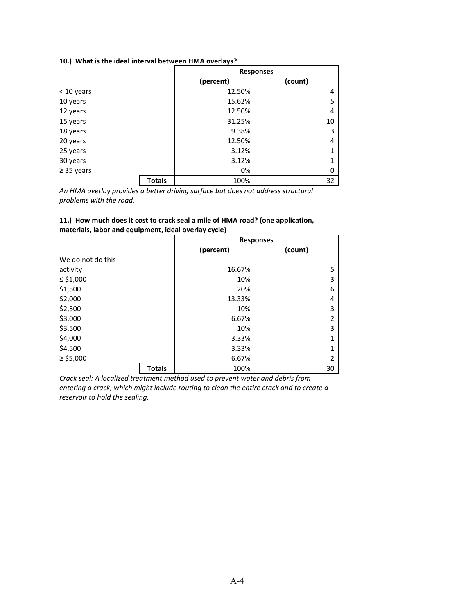#### **10.) What is the ideal interval between HMA overlays?**

|                 |               | <b>Responses</b> |         |
|-----------------|---------------|------------------|---------|
|                 |               | (percent)        | (count) |
| < 10 years      |               | 12.50%           | 4       |
| 10 years        |               | 15.62%           | 5       |
| 12 years        |               | 12.50%           | 4       |
| 15 years        |               | 31.25%           | 10      |
| 18 years        |               | 9.38%            | 3       |
| 20 years        |               | 12.50%           | 4       |
| 25 years        |               | 3.12%            | 1       |
| 30 years        |               | 3.12%            | 1       |
| $\geq$ 35 years |               | 0%               | 0       |
|                 | <b>Totals</b> | 100%             | 32      |

*An HMA overlay provides a better driving surface but does not address structural problems with the road.*

#### **11.) How much does it cost to crack seal a mile of HMA road? (one application, materials, labor and equipment, ideal overlay cycle)**

|                   |               | <b>Responses</b> |                |  |
|-------------------|---------------|------------------|----------------|--|
|                   |               | (percent)        | (count)        |  |
| We do not do this |               |                  |                |  |
| activity          |               | 16.67%           | 5              |  |
| $\le$ \$1,000     |               | 10%              | 3              |  |
| \$1,500           |               | 20%              | 6              |  |
| \$2,000           |               | 13.33%           | 4              |  |
| \$2,500           |               | 10%              | 3              |  |
| \$3,000           |               | 6.67%            | 2              |  |
| \$3,500           |               | 10%              | 3              |  |
| \$4,000           |               | 3.33%            | $\mathbf{1}$   |  |
| \$4,500           |               | 3.33%            | 1              |  |
| $\ge$ \$5,000     |               | 6.67%            | $\overline{2}$ |  |
|                   | <b>Totals</b> | 100%             | 30             |  |

*Crack seal: A localized treatment method used to prevent water and debris from entering a crack, which might include routing to clean the entire crack and to create a reservoir to hold the sealing.*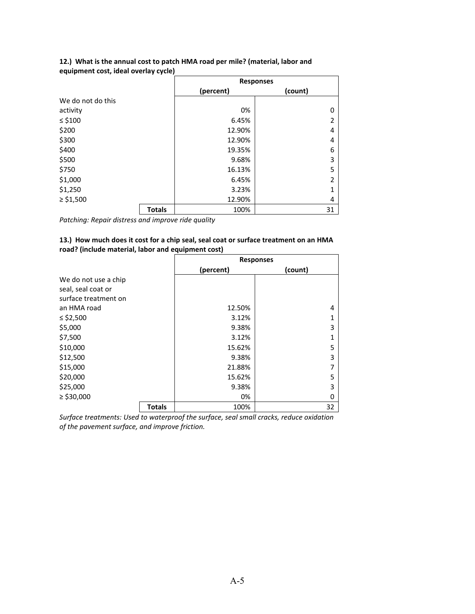|                   |               | <b>Responses</b> |                |  |
|-------------------|---------------|------------------|----------------|--|
|                   |               | (percent)        | (count)        |  |
| We do not do this |               |                  |                |  |
| activity          |               | 0%               | 0              |  |
| ≤ \$100           |               | 6.45%            | $\overline{2}$ |  |
| \$200             |               | 12.90%           | 4              |  |
| \$300             |               | 12.90%           | 4              |  |
| \$400             |               | 19.35%           | 6              |  |
| \$500             |               | 9.68%            | 3              |  |
| \$750             |               | 16.13%           | 5              |  |
| \$1,000           |               | 6.45%            | $\overline{2}$ |  |
| \$1,250           |               | 3.23%            | 1              |  |
| $\ge$ \$1,500     |               | 12.90%           | 4              |  |
|                   | <b>Totals</b> | 100%             | 31             |  |

#### **12.) What is the annual cost to patch HMA road per mile? (material, labor and equipment cost, ideal overlay cycle)**

*Patching: Repair distress and improve ride quality*

#### **13.) How much does it cost for a chip seal, seal coat or surface treatment on an HMA road? (include material, labor and equipment cost)**

|                      |               | <b>Responses</b> |         |
|----------------------|---------------|------------------|---------|
|                      |               | (percent)        | (count) |
| We do not use a chip |               |                  |         |
| seal, seal coat or   |               |                  |         |
| surface treatment on |               |                  |         |
| an HMA road          |               | 12.50%           | 4       |
| ≤ \$2,500            |               | 3.12%            | 1       |
| \$5,000              |               | 9.38%            | 3       |
| \$7,500              |               | 3.12%            | 1       |
| \$10,000             |               | 15.62%           | 5       |
| \$12,500             |               | 9.38%            | 3       |
| \$15,000             |               | 21.88%           | 7       |
| \$20,000             |               | 15.62%           | 5       |
| \$25,000             |               | 9.38%            | 3       |
| $\ge$ \$30,000       |               | 0%               | 0       |
|                      | <b>Totals</b> | 100%             | 32      |

*Surface treatments: Used to waterproof the surface, seal small cracks, reduce oxidation of the pavement surface, and improve friction.*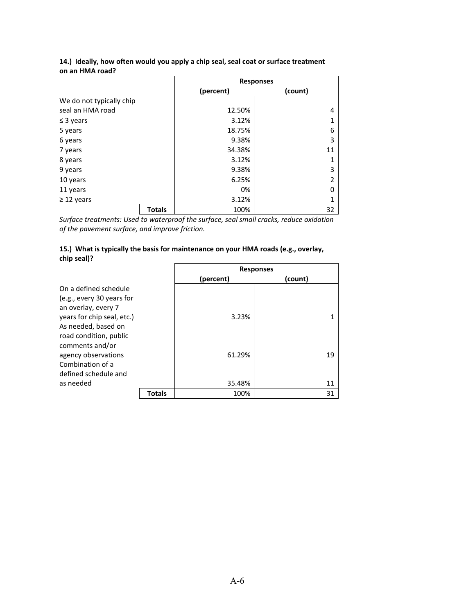|                          |               | <b>Responses</b> |                |
|--------------------------|---------------|------------------|----------------|
|                          |               | (percent)        | (count)        |
| We do not typically chip |               |                  |                |
| seal an HMA road         |               | 12.50%           | 4              |
| $\leq$ 3 years           |               | 3.12%            | 1              |
| 5 years                  |               | 18.75%           | 6              |
| 6 years                  |               | 9.38%            | 3              |
| 7 years                  |               | 34.38%           | 11             |
| 8 years                  |               | 3.12%            | 1              |
| 9 years                  |               | 9.38%            | 3              |
| 10 years                 |               | 6.25%            | $\overline{2}$ |
| 11 years                 |               | 0%               | 0              |
| $\geq$ 12 years          |               | 3.12%            | 1              |
|                          | <b>Totals</b> | 100%             | 32             |

#### **14.) Ideally, how often would you apply a chip seal, seal coat or surface treatment on an HMA road?**

*Surface treatments: Used to waterproof the surface, seal small cracks, reduce oxidation of the pavement surface, and improve friction.*

#### **15.) What is typically the basis for maintenance on your HMA roads (e.g., overlay, chip seal)?**

|                            |               | <b>Responses</b> |         |
|----------------------------|---------------|------------------|---------|
|                            |               | (percent)        | (count) |
| On a defined schedule      |               |                  |         |
| (e.g., every 30 years for  |               |                  |         |
| an overlay, every 7        |               |                  |         |
| years for chip seal, etc.) |               | 3.23%            |         |
| As needed, based on        |               |                  |         |
| road condition, public     |               |                  |         |
| comments and/or            |               |                  |         |
| agency observations        |               | 61.29%           | 19      |
| Combination of a           |               |                  |         |
| defined schedule and       |               |                  |         |
| as needed                  |               | 35.48%           | 11      |
|                            | <b>Totals</b> | 100%             | 31      |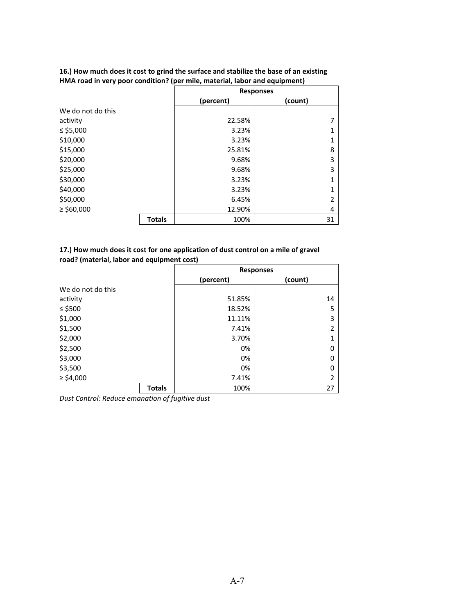|                   |               | <b>Responses</b> |                |  |
|-------------------|---------------|------------------|----------------|--|
|                   |               | (percent)        | (count)        |  |
| We do not do this |               |                  |                |  |
| activity          |               | 22.58%           | 7              |  |
| ≤ \$5,000         |               | 3.23%            | 1              |  |
| \$10,000          |               | 3.23%            | 1              |  |
| \$15,000          |               | 25.81%           | 8              |  |
| \$20,000          |               | 9.68%            | 3              |  |
| \$25,000          |               | 9.68%            | 3              |  |
| \$30,000          |               | 3.23%            | 1              |  |
| \$40,000          |               | 3.23%            | $\mathbf{1}$   |  |
| \$50,000          |               | 6.45%            | $\overline{2}$ |  |
| $\ge$ \$60,000    |               | 12.90%           | 4              |  |
|                   | <b>Totals</b> | 100%             | 31             |  |

#### **16.) How much does it cost to grind the surface and stabilize the base of an existing HMA road in very poor condition? (per mile, material, labor and equipment)**

#### **17.) How much does it cost for one application of dust control on a mile of gravel road? (material, labor and equipment cost)**

|                   |               | <b>Responses</b>     |                |  |
|-------------------|---------------|----------------------|----------------|--|
|                   |               | (percent)<br>(count) |                |  |
| We do not do this |               |                      |                |  |
| activity          |               | 51.85%               | 14             |  |
| $≤$ \$500         |               | 18.52%               | 5              |  |
| \$1,000           |               | 11.11%               | 3              |  |
| \$1,500           |               | 7.41%                | $\overline{2}$ |  |
| \$2,000           |               | 3.70%                | 1              |  |
| \$2,500           |               | 0%                   | 0              |  |
| \$3,000           |               | 0%                   | 0              |  |
| \$3,500           |               | 0%                   | 0              |  |
| $\geq$ \$4,000    |               | 7.41%                | $\overline{2}$ |  |
|                   | <b>Totals</b> | 100%                 | 27             |  |

*Dust Control: Reduce emanation of fugitive dust*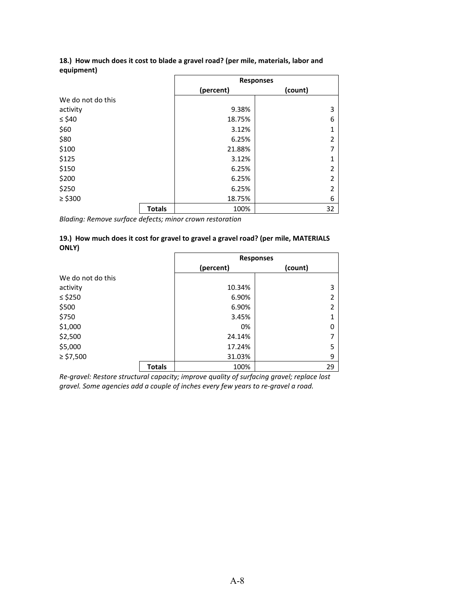|                   |               | <b>Responses</b> |                |  |
|-------------------|---------------|------------------|----------------|--|
|                   |               | (percent)        | (count)        |  |
| We do not do this |               |                  |                |  |
| activity          |               | 9.38%            | 3              |  |
| $\leq$ \$40       |               | 18.75%           | 6              |  |
| \$60              |               | 3.12%            | 1              |  |
| \$80              |               | 6.25%            | $\overline{2}$ |  |
| \$100             |               | 21.88%           | 7              |  |
| \$125             |               | 3.12%            | 1              |  |
| \$150             |               | 6.25%            | $\overline{2}$ |  |
| \$200             |               | 6.25%            | $\overline{2}$ |  |
| \$250             |               | 6.25%            | $\overline{2}$ |  |
| $\ge$ \$300       |               | 18.75%           | 6              |  |
|                   | <b>Totals</b> | 100%             | 32             |  |

#### **18.) How much does it cost to blade a gravel road? (per mile, materials, labor and equipment)**

*Blading: Remove surface defects; minor crown restoration*

#### **19.) How much does it cost for gravel to gravel a gravel road? (per mile, MATERIALS ONLY)**

|                   |               | <b>Responses</b>     |    |  |  |
|-------------------|---------------|----------------------|----|--|--|
|                   |               | (count)<br>(percent) |    |  |  |
| We do not do this |               |                      |    |  |  |
| activity          |               | 10.34%               | 3  |  |  |
| ≤ \$250           |               | 6.90%<br>2           |    |  |  |
| \$500             |               | 6.90%                |    |  |  |
| \$750             |               | 3.45%                | 1  |  |  |
| \$1,000           |               | 0%                   | 0  |  |  |
| \$2,500           |               | 24.14%               |    |  |  |
| \$5,000           | 17.24%        |                      | 5  |  |  |
| $\ge$ \$7,500     |               | 31.03%               | 9  |  |  |
|                   | <b>Totals</b> | 100%                 | 29 |  |  |

*Re-gravel: Restore structural capacity; improve quality of surfacing gravel; replace lost gravel. Some agencies add a couple of inches every few years to re-gravel a road.*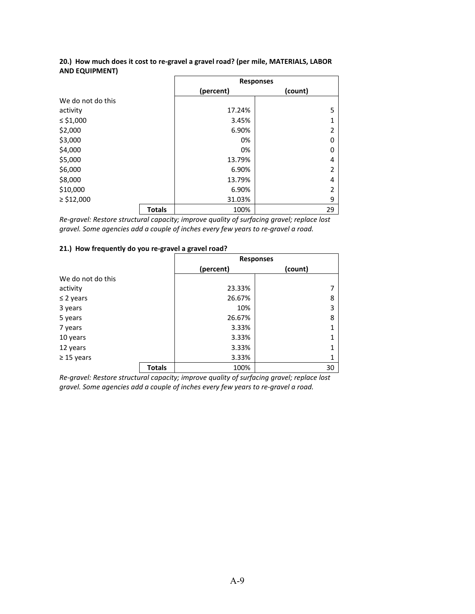|                   |               | <b>Responses</b> |                |  |
|-------------------|---------------|------------------|----------------|--|
|                   |               | (percent)        | (count)        |  |
| We do not do this |               |                  |                |  |
| activity          |               | 17.24%           | 5              |  |
| ≤ \$1,000         |               | 3.45%            | 1              |  |
| \$2,000           |               | 6.90%            | $\overline{2}$ |  |
| \$3,000           |               | 0%               | 0              |  |
| \$4,000           |               | 0%               | 0              |  |
| \$5,000           |               | 13.79%           | 4              |  |
| \$6,000           |               | 6.90%            | $\overline{2}$ |  |
| \$8,000           |               | 13.79%           | 4              |  |
| \$10,000          |               | 6.90%            | $\overline{2}$ |  |
| $\ge$ \$12,000    |               | 31.03%           | 9              |  |
|                   | <b>Totals</b> | 100%             | 29             |  |

#### **20.) How much does it cost to re-gravel a gravel road? (per mile, MATERIALS, LABOR AND EQUIPMENT)**

*Re-gravel: Restore structural capacity; improve quality of surfacing gravel; replace lost gravel. Some agencies add a couple of inches every few years to re-gravel a road.*

#### **21.) How frequently do you re-gravel a gravel road?**

|                   |               | <b>Responses</b>     |              |  |
|-------------------|---------------|----------------------|--------------|--|
|                   |               | (count)<br>(percent) |              |  |
| We do not do this |               |                      |              |  |
| activity          |               | 23.33%               | 7            |  |
| $\leq$ 2 years    |               | 26.67%               | 8            |  |
| 3 years           |               | 10%                  | 3            |  |
| 5 years           |               | 26.67%               | 8            |  |
| 7 years           |               | 3.33%                | 1            |  |
| 10 years          |               | 3.33%                | $\mathbf{1}$ |  |
| 12 years          |               | 3.33%                | $\mathbf{1}$ |  |
| $\geq$ 15 years   |               | 3.33%                | 1            |  |
|                   | <b>Totals</b> | 100%                 | 30           |  |

*Re-gravel: Restore structural capacity; improve quality of surfacing gravel; replace lost gravel. Some agencies add a couple of inches every few years to re-gravel a road.*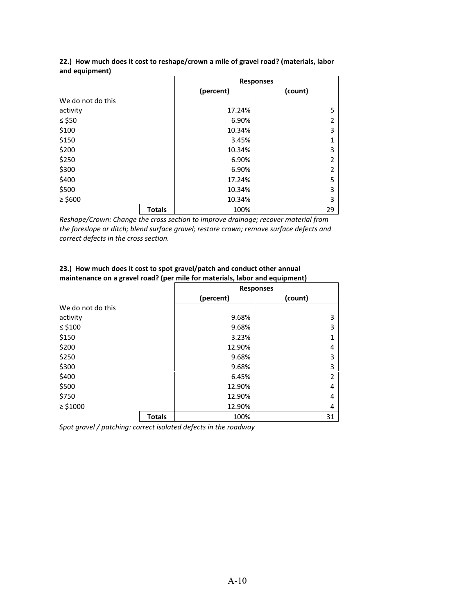|                   |               | <b>Responses</b>     |                |  |
|-------------------|---------------|----------------------|----------------|--|
|                   |               | (percent)<br>(count) |                |  |
| We do not do this |               |                      |                |  |
| activity          |               | 17.24%               | 5              |  |
| ≤ \$50            |               | 6.90%                | $\overline{2}$ |  |
| \$100             |               | 10.34%               | 3              |  |
| \$150             |               | 3.45%                | $\mathbf{1}$   |  |
| \$200             |               | 10.34%               | 3              |  |
| \$250             |               | 6.90%                | $\overline{2}$ |  |
| \$300             |               | 6.90%                | 2              |  |
| \$400             |               | 17.24%               | 5              |  |
| \$500             |               | 10.34%               | 3              |  |
| $\ge$ \$600       |               | 10.34%               | 3              |  |
|                   | <b>Totals</b> | 100%                 | 29             |  |

#### **22.) How much does it cost to reshape/crown a mile of gravel road? (materials, labor and equipment)**

*Reshape/Crown: Change the cross section to improve drainage; recover material from the foreslope or ditch; blend surface gravel; restore crown; remove surface defects and correct defects in the cross section.*

|                   |               | <b>Responses</b> |                |  |
|-------------------|---------------|------------------|----------------|--|
|                   |               | (percent)        | (count)        |  |
| We do not do this |               |                  |                |  |
| activity          |               | 9.68%            | 3              |  |
| $\leq$ \$100      |               | 9.68%            | 3              |  |
| \$150             |               | 3.23%            | 1              |  |
| \$200             |               | 12.90%           | 4              |  |
| \$250             |               | 9.68%            | 3              |  |
| \$300             |               | 9.68%            | 3              |  |
| \$400             |               | 6.45%            | $\overline{2}$ |  |
| \$500             |               | 12.90%           | 4              |  |
| \$750             |               | 12.90%           | 4              |  |
| $\geq$ \$1000     |               | 12.90%           | 4              |  |
|                   | <b>Totals</b> | 100%             | 31             |  |

#### **23.) How much does it cost to spot gravel/patch and conduct other annual maintenance on a gravel road? (per mile for materials, labor and equipment)**

*Spot gravel / patching: correct isolated defects in the roadway*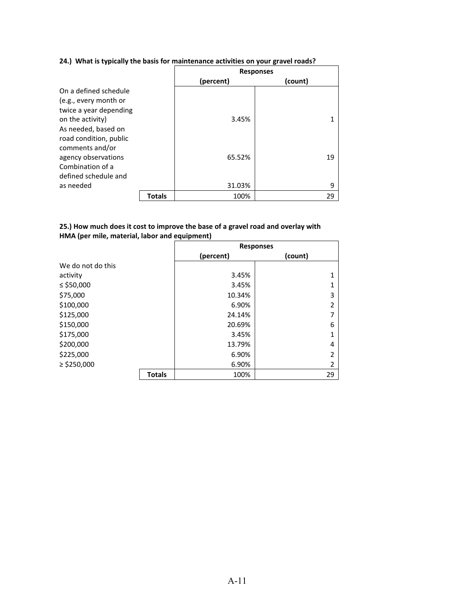# **24.) What is typically the basis for maintenance activities on your gravel roads?**

|                        |               | <b>Responses</b> |         |  |
|------------------------|---------------|------------------|---------|--|
|                        |               | (percent)        | (count) |  |
| On a defined schedule  |               |                  |         |  |
| (e.g., every month or  |               |                  |         |  |
| twice a year depending |               |                  |         |  |
| on the activity)       |               | 3.45%            | 1       |  |
| As needed, based on    |               |                  |         |  |
| road condition, public |               |                  |         |  |
| comments and/or        |               |                  |         |  |
| agency observations    |               | 65.52%           | 19      |  |
| Combination of a       |               |                  |         |  |
| defined schedule and   |               |                  |         |  |
| as needed              |               | 31.03%           | 9       |  |
|                        | <b>Totals</b> | 100%             | 29      |  |

# **25.) How much does it cost to improve the base of a gravel road and overlay with HMA (per mile, material, labor and equipment)**

|                   |               | <b>Responses</b> |                |  |
|-------------------|---------------|------------------|----------------|--|
|                   |               | (percent)        | (count)        |  |
| We do not do this |               |                  |                |  |
| activity          |               | 3.45%            | $\overline{1}$ |  |
| ≤ \$50,000        |               | 3.45%            | $\overline{1}$ |  |
| \$75,000          |               | 10.34%           | 3              |  |
| \$100,000         |               | 6.90%            | $\overline{2}$ |  |
| \$125,000         |               | 24.14%           | 7              |  |
| \$150,000         |               | 20.69%           | 6              |  |
| \$175,000         |               | 3.45%            | 1              |  |
| \$200,000         |               | 13.79%           | 4              |  |
| \$225,000         |               | 6.90%            | $\overline{2}$ |  |
| $\ge$ \$250,000   |               | 6.90%            | 2              |  |
|                   | <b>Totals</b> | 100%             | 29             |  |